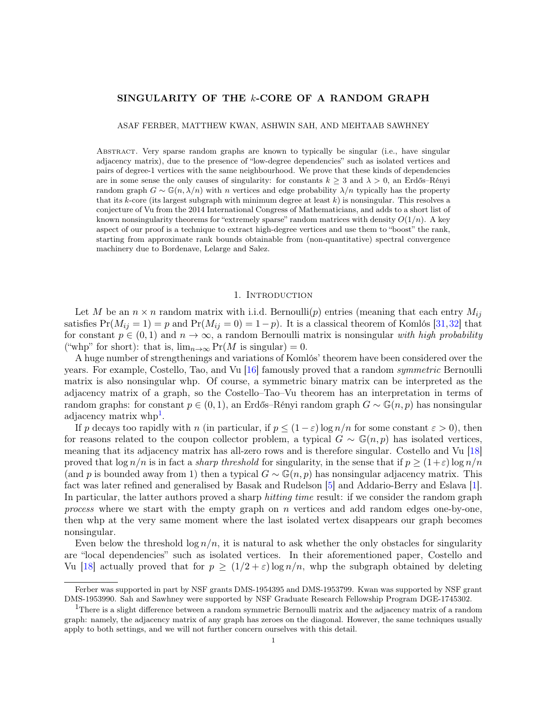# <span id="page-0-1"></span>SINGULARITY OF THE k-CORE OF A RANDOM GRAPH

ASAF FERBER, MATTHEW KWAN, ASHWIN SAH, AND MEHTAAB SAWHNEY

Abstract. Very sparse random graphs are known to typically be singular (i.e., have singular adjacency matrix), due to the presence of "low-degree dependencies" such as isolated vertices and pairs of degree-1 vertices with the same neighbourhood. We prove that these kinds of dependencies are in some sense the only causes of singularity: for constants  $k \geq 3$  and  $\lambda > 0$ , an Erdős–Rényi random graph  $G \sim \mathbb{G}(n, \lambda/n)$  with n vertices and edge probability  $\lambda/n$  typically has the property that its k-core (its largest subgraph with minimum degree at least  $k$ ) is nonsingular. This resolves a conjecture of Vu from the 2014 International Congress of Mathematicians, and adds to a short list of known nonsingularity theorems for "extremely sparse" random matrices with density  $O(1/n)$ . A key aspect of our proof is a technique to extract high-degree vertices and use them to "boost" the rank, starting from approximate rank bounds obtainable from (non-quantitative) spectral convergence machinery due to Bordenave, Lelarge and Salez.

## 1. INTRODUCTION

Let M be an  $n \times n$  random matrix with i.i.d. Bernoulli(p) entries (meaning that each entry  $M_{ij}$ satisfies  $Pr(M_{ij} = 1) = p$  and  $Pr(M_{ij} = 0) = 1-p$ . It is a classical theorem of Komlós [\[31,](#page-23-0)[32\]](#page-23-1) that for constant  $p \in (0, 1)$  and  $n \to \infty$ , a random Bernoulli matrix is nonsingular with high probability ("whp" for short): that is,  $\lim_{n\to\infty} \Pr(M \text{ is singular}) = 0.$ 

A huge number of strengthenings and variations of Komlós' theorem have been considered over the years. For example, Costello, Tao, and Vu [\[16\]](#page-23-2) famously proved that a random symmetric Bernoulli matrix is also nonsingular whp. Of course, a symmetric binary matrix can be interpreted as the adjacency matrix of a graph, so the Costello–Tao–Vu theorem has an interpretation in terms of random graphs: for constant  $p \in (0, 1)$ , an Erdős–Rényi random graph  $G \sim \mathbb{G}(n, p)$  has nonsingular adjacency matrix whp<sup>[1](#page-0-0)</sup>.

If p decays too rapidly with n (in particular, if  $p \leq (1 - \varepsilon) \log n/n$  for some constant  $\varepsilon > 0$ ), then for reasons related to the coupon collector problem, a typical  $G \sim \mathbb{G}(n, p)$  has isolated vertices. meaning that its adjacency matrix has all-zero rows and is therefore singular. Costello and Vu [\[18\]](#page-23-3) proved that  $\log n/n$  is in fact a *sharp threshold* for singularity, in the sense that if  $p \geq (1+\varepsilon) \log n/n$ (and p is bounded away from 1) then a typical  $G \sim \mathbb{G}(n, p)$  has nonsingular adjacency matrix. This fact was later refined and generalised by Basak and Rudelson [\[5\]](#page-23-4) and Addario-Berry and Eslava [\[1\]](#page-22-0). In particular, the latter authors proved a sharp *hitting time* result: if we consider the random graph process where we start with the empty graph on n vertices and add random edges one-by-one, then whp at the very same moment where the last isolated vertex disappears our graph becomes nonsingular.

Even below the threshold  $\log n/n$ , it is natural to ask whether the only obstacles for singularity are "local dependencies" such as isolated vertices. In their aforementioned paper, Costello and Vu [\[18\]](#page-23-3) actually proved that for  $p \geq (1/2 + \varepsilon) \log n/n$ , who the subgraph obtained by deleting

Ferber was supported in part by NSF grants DMS-1954395 and DMS-1953799. Kwan was supported by NSF grant DMS-1953990. Sah and Sawhney were supported by NSF Graduate Research Fellowship Program DGE-1745302.

<span id="page-0-0"></span><sup>&</sup>lt;sup>1</sup>There is a slight difference between a random symmetric Bernoulli matrix and the adjacency matrix of a random graph: namely, the adjacency matrix of any graph has zeroes on the diagonal. However, the same techniques usually apply to both settings, and we will not further concern ourselves with this detail.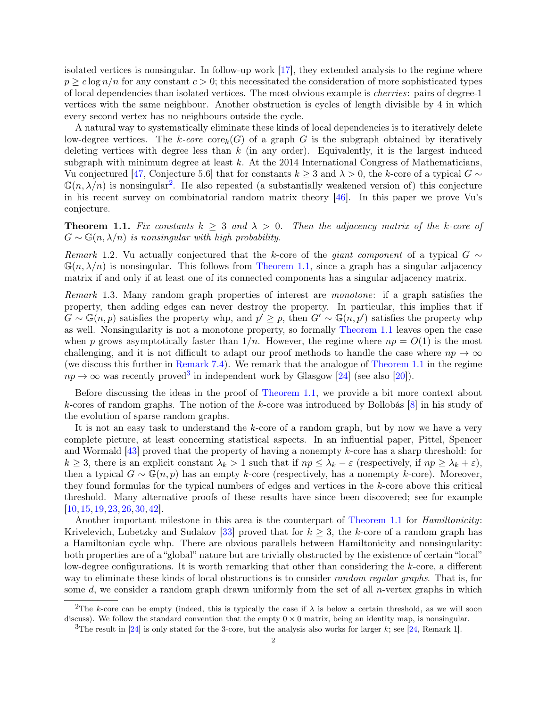<span id="page-1-3"></span>isolated vertices is nonsingular. In follow-up work [\[17\]](#page-23-5), they extended analysis to the regime where  $p \geq c \log n/n$  for any constant  $c > 0$ ; this necessitated the consideration of more sophisticated types of local dependencies than isolated vertices. The most obvious example is cherries: pairs of degree-1 vertices with the same neighbour. Another obstruction is cycles of length divisible by 4 in which every second vertex has no neighbours outside the cycle.

A natural way to systematically eliminate these kinds of local dependencies is to iteratively delete low-degree vertices. The k-core  $\text{core}_k(G)$  of a graph G is the subgraph obtained by iteratively deleting vertices with degree less than  $k$  (in any order). Equivalently, it is the largest induced subgraph with minimum degree at least  $k$ . At the 2014 International Congress of Mathematicians, Vu conjectured [\[47,](#page-24-0) Conjecture 5.6] that for constants  $k \geq 3$  and  $\lambda > 0$ , the k-core of a typical  $G \sim$  $\mathbb{G}(n,\lambda/n)$  is nonsingular<sup>[2](#page-1-0)</sup>. He also repeated (a substantially weakened version of) this conjecture in his recent survey on combinatorial random matrix theory [\[46\]](#page-24-1). In this paper we prove Vu's conjecture.

<span id="page-1-1"></span>**Theorem 1.1.** Fix constants  $k \geq 3$  and  $\lambda > 0$ . Then the adjacency matrix of the k-core of  $G \sim \mathbb{G}(n, \lambda/n)$  is nonsingular with high probability.

Remark 1.2. Vu actually conjectured that the k-core of the *giant component* of a typical  $G \sim$  $\mathbb{G}(n, \lambda/n)$  is nonsingular. This follows from [Theorem 1.1,](#page-1-1) since a graph has a singular adjacency matrix if and only if at least one of its connected components has a singular adjacency matrix.

Remark 1.3. Many random graph properties of interest are monotone: if a graph satisfies the property, then adding edges can never destroy the property. In particular, this implies that if  $G \sim \mathbb{G}(n, p)$  satisfies the property whp, and  $p' \geq p$ , then  $G' \sim \mathbb{G}(n, p')$  satisfies the property whp as well. Nonsingularity is not a monotone property, so formally [Theorem 1.1](#page-1-1) leaves open the case when p grows asymptotically faster than  $1/n$ . However, the regime where  $np = O(1)$  is the most challenging, and it is not difficult to adapt our proof methods to handle the case where  $np \to \infty$ (we discuss this further in [Remark 7.4\)](#page-15-0). We remark that the analogue of [Theorem 1.1](#page-1-1) in the regime  $np \to \infty$  was recently proved<sup>[3](#page-1-2)</sup> in independent work by Glasgow [\[24\]](#page-23-6) (see also [\[20\]](#page-23-7)).

Before discussing the ideas in the proof of [Theorem 1.1,](#page-1-1) we provide a bit more context about k-cores of random graphs. The notion of the k-core was introduced by Bollobás [\[8\]](#page-23-8) in his study of the evolution of sparse random graphs.

It is not an easy task to understand the k-core of a random graph, but by now we have a very complete picture, at least concerning statistical aspects. In an influential paper, Pittel, Spencer and Wormald [\[43\]](#page-24-2) proved that the property of having a nonempty k-core has a sharp threshold: for  $k \geq 3$ , there is an explicit constant  $\lambda_k > 1$  such that if  $np \leq \lambda_k - \varepsilon$  (respectively, if  $np \geq \lambda_k + \varepsilon$ ), then a typical  $G \sim \mathbb{G}(n, p)$  has an empty k-core (respectively, has a nonempty k-core). Moreover, they found formulas for the typical numbers of edges and vertices in the k-core above this critical threshold. Many alternative proofs of these results have since been discovered; see for example [\[10,](#page-23-9) [15,](#page-23-10) [19,](#page-23-11) [23,](#page-23-12) [26,](#page-23-13) [30,](#page-23-14) [42\]](#page-24-3).

Another important milestone in this area is the counterpart of [Theorem 1.1](#page-1-1) for *Hamiltonicity*: Krivelevich, Lubetzky and Sudakov [\[33\]](#page-24-4) proved that for  $k \geq 3$ , the k-core of a random graph has a Hamiltonian cycle whp. There are obvious parallels between Hamiltonicity and nonsingularity: both properties are of a "global" nature but are trivially obstructed by the existence of certain "local" low-degree configurations. It is worth remarking that other than considering the k-core, a different way to eliminate these kinds of local obstructions is to consider *random regular graphs*. That is, for some d, we consider a random graph drawn uniformly from the set of all *n*-vertex graphs in which

<span id="page-1-0"></span><sup>&</sup>lt;sup>2</sup>The k-core can be empty (indeed, this is typically the case if  $\lambda$  is below a certain threshold, as we will soon discuss). We follow the standard convention that the empty  $0 \times 0$  matrix, being an identity map, is nonsingular.

<span id="page-1-2"></span><sup>&</sup>lt;sup>3</sup>The result in [\[24\]](#page-23-6) is only stated for the 3-core, but the analysis also works for larger k; see [\[24,](#page-23-6) Remark 1].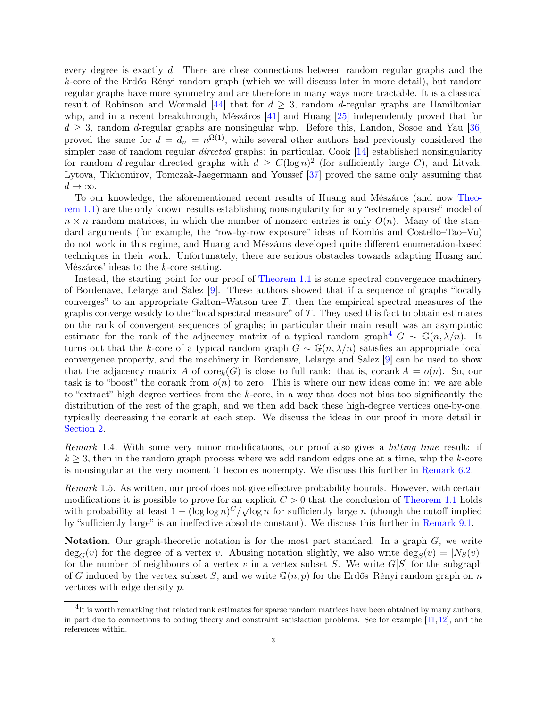<span id="page-2-1"></span>every degree is exactly d. There are close connections between random regular graphs and the k-core of the Erdős–Rényi random graph (which we will discuss later in more detail), but random regular graphs have more symmetry and are therefore in many ways more tractable. It is a classical result of Robinson and Wormald [\[44\]](#page-24-5) that for  $d \geq 3$ , random d-regular graphs are Hamiltonian whp, and in a recent breakthrough, Mészáros [\[41\]](#page-24-6) and Huang [\[25\]](#page-23-15) independently proved that for  $d \geq 3$ , random d-regular graphs are nonsingular whp. Before this, Landon, Sosoe and Yau [\[36\]](#page-24-7) proved the same for  $d = d_n = n^{\Omega(1)}$ , while several other authors had previously considered the simpler case of random regular *directed* graphs: in particular, Cook [\[14\]](#page-23-16) established nonsingularity for random d-regular directed graphs with  $d \geq C(\log n)^2$  (for sufficiently large C), and Litvak, Lytova, Tikhomirov, Tomczak-Jaegermann and Youssef [\[37\]](#page-24-8) proved the same only assuming that  $d \to \infty$ .

To our knowledge, the aforementioned recent results of Huang and Mészáros (and now [Theo](#page-1-1)[rem 1.1\)](#page-1-1) are the only known results establishing nonsingularity for any "extremely sparse" model of  $n \times n$  random matrices, in which the number of nonzero entries is only  $O(n)$ . Many of the standard arguments (for example, the "row-by-row exposure" ideas of Komlós and Costello–Tao–Vu) do not work in this regime, and Huang and Mészáros developed quite different enumeration-based techniques in their work. Unfortunately, there are serious obstacles towards adapting Huang and Mészáros' ideas to the k-core setting.

Instead, the starting point for our proof of [Theorem 1.1](#page-1-1) is some spectral convergence machinery of Bordenave, Lelarge and Salez [\[9\]](#page-23-17). These authors showed that if a sequence of graphs "locally converges" to an appropriate Galton–Watson tree  $T$ , then the empirical spectral measures of the graphs converge weakly to the "local spectral measure" of  $T$ . They used this fact to obtain estimates on the rank of convergent sequences of graphs; in particular their main result was an asymptotic estimate for the rank of the adjacency matrix of a typical random graph<sup>[4](#page-2-0)</sup>  $G \sim \mathbb{G}(n, \lambda/n)$ . It turns out that the k-core of a typical random graph  $G \sim \mathbb{G}(n, \lambda/n)$  satisfies an appropriate local convergence property, and the machinery in Bordenave, Lelarge and Salez [\[9\]](#page-23-17) can be used to show that the adjacency matrix A of core<sub>k</sub>(G) is close to full rank: that is, corank  $A = o(n)$ . So, our task is to "boost" the corank from  $o(n)$  to zero. This is where our new ideas come in: we are able to "extract" high degree vertices from the k-core, in a way that does not bias too significantly the distribution of the rest of the graph, and we then add back these high-degree vertices one-by-one, typically decreasing the corank at each step. We discuss the ideas in our proof in more detail in [Section 2.](#page-3-0)

Remark 1.4. With some very minor modifications, our proof also gives a hitting time result: if  $k \geq 3$ , then in the random graph process where we add random edges one at a time, whp the k-core is nonsingular at the very moment it becomes nonempty. We discuss this further in [Remark 6.2.](#page-12-0)

Remark 1.5. As written, our proof does not give effective probability bounds. However, with certain modifications it is possible to prove for an explicit  $C > 0$  that the conclusion of [Theorem 1.1](#page-1-1) holds with probability at least  $1 - (\log \log n)^C / \sqrt{\log n}$  for sufficiently large n (though the cutoff implied by "sufficiently large" is an ineffective absolute constant). We discuss this further in [Remark 9.1.](#page-22-1)

**Notation.** Our graph-theoretic notation is for the most part standard. In a graph  $G$ , we write  $deg_G(v)$  for the degree of a vertex v. Abusing notation slightly, we also write  $deg_S(v) = |N_S(v)|$ for the number of neighbours of a vertex v in a vertex subset S. We write  $G[S]$  for the subgraph of G induced by the vertex subset S, and we write  $\mathbb{G}(n, p)$  for the Erdős–Rényi random graph on n vertices with edge density p.

<span id="page-2-0"></span> ${}^{4}$ It is worth remarking that related rank estimates for sparse random matrices have been obtained by many authors, in part due to connections to coding theory and constraint satisfaction problems. See for example [\[11,](#page-23-18) [12\]](#page-23-19), and the references within.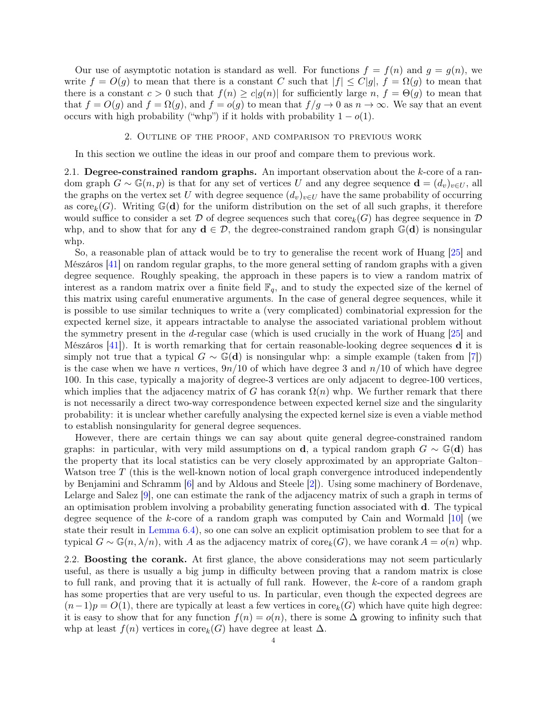<span id="page-3-1"></span>Our use of asymptotic notation is standard as well. For functions  $f = f(n)$  and  $q = q(n)$ , we write  $f = O(g)$  to mean that there is a constant C such that  $|f| \leq C|g|$ ,  $f = \Omega(g)$  to mean that there is a constant  $c > 0$  such that  $f(n) \ge c|g(n)|$  for sufficiently large  $n, f = \Theta(g)$  to mean that that  $f = O(g)$  and  $f = \Omega(g)$ , and  $f = o(g)$  to mean that  $f/g \to 0$  as  $n \to \infty$ . We say that an event occurs with high probability ("whp") if it holds with probability  $1 - o(1)$ .

### 2. Outline of the proof, and comparison to previous work

<span id="page-3-0"></span>In this section we outline the ideas in our proof and compare them to previous work.

2.1. Degree-constrained random graphs. An important observation about the  $k$ -core of a random graph  $G \sim \mathbb{G}(n, p)$  is that for any set of vertices U and any degree sequence  $\mathbf{d} = (d_v)_{v \in U}$ , all the graphs on the vertex set U with degree sequence  $(d_v)_{v\in U}$  have the same probability of occurring as  $\text{core}_k(G)$ . Writing  $\mathbb{G}(\mathbf{d})$  for the uniform distribution on the set of all such graphs, it therefore would suffice to consider a set D of degree sequences such that  $\text{core}_k(G)$  has degree sequence in D whp, and to show that for any  $\mathbf{d} \in \mathcal{D}$ , the degree-constrained random graph  $\mathbb{G}(\mathbf{d})$  is nonsingular whp.

So, a reasonable plan of attack would be to try to generalise the recent work of Huang [\[25\]](#page-23-15) and Mészáros [\[41\]](#page-24-6) on random regular graphs, to the more general setting of random graphs with a given degree sequence. Roughly speaking, the approach in these papers is to view a random matrix of interest as a random matrix over a finite field  $\mathbb{F}_q$ , and to study the expected size of the kernel of this matrix using careful enumerative arguments. In the case of general degree sequences, while it is possible to use similar techniques to write a (very complicated) combinatorial expression for the expected kernel size, it appears intractable to analyse the associated variational problem without the symmetry present in the d-regular case (which is used crucially in the work of Huang [\[25\]](#page-23-15) and Mészáros  $[41]$ ). It is worth remarking that for certain reasonable-looking degree sequences **d** it is simply not true that a typical  $G \sim \mathbb{G}(\mathbf{d})$  is nonsingular whp: a simple example (taken from [\[7\]](#page-23-20)) is the case when we have n vertices,  $9n/10$  of which have degree 3 and  $n/10$  of which have degree 100. In this case, typically a majority of degree-3 vertices are only adjacent to degree-100 vertices, which implies that the adjacency matrix of G has corank  $\Omega(n)$  whp. We further remark that there is not necessarily a direct two-way correspondence between expected kernel size and the singularity probability: it is unclear whether carefully analysing the expected kernel size is even a viable method to establish nonsingularity for general degree sequences.

However, there are certain things we can say about quite general degree-constrained random graphs: in particular, with very mild assumptions on **d**, a typical random graph  $G \sim \mathbb{G}(\mathbf{d})$  has the property that its local statistics can be very closely approximated by an appropriate Galton– Watson tree  $T$  (this is the well-known notion of local graph convergence introduced independently by Benjamini and Schramm [\[6\]](#page-23-21) and by Aldous and Steele [\[2\]](#page-23-22)). Using some machinery of Bordenave, Lelarge and Salez [\[9\]](#page-23-17), one can estimate the rank of the adjacency matrix of such a graph in terms of an optimisation problem involving a probability generating function associated with d. The typical degree sequence of the k-core of a random graph was computed by Cain and Wormald [\[10\]](#page-23-9) (we state their result in [Lemma 6.4\)](#page-12-1), so one can solve an explicit optimisation problem to see that for a typical  $G \sim \mathbb{G}(n, \lambda/n)$ , with A as the adjacency matrix of  $\text{core}_k(G)$ , we have corank  $A = o(n)$  whp.

2.2. Boosting the corank. At first glance, the above considerations may not seem particularly useful, as there is usually a big jump in difficulty between proving that a random matrix is close to full rank, and proving that it is actually of full rank. However, the k-core of a random graph has some properties that are very useful to us. In particular, even though the expected degrees are  $(n-1)p = O(1)$ , there are typically at least a few vertices in  $\text{core}_k(G)$  which have quite high degree: it is easy to show that for any function  $f(n) = o(n)$ , there is some  $\Delta$  growing to infinity such that whp at least  $f(n)$  vertices in core<sub>k</sub>(G) have degree at least  $\Delta$ .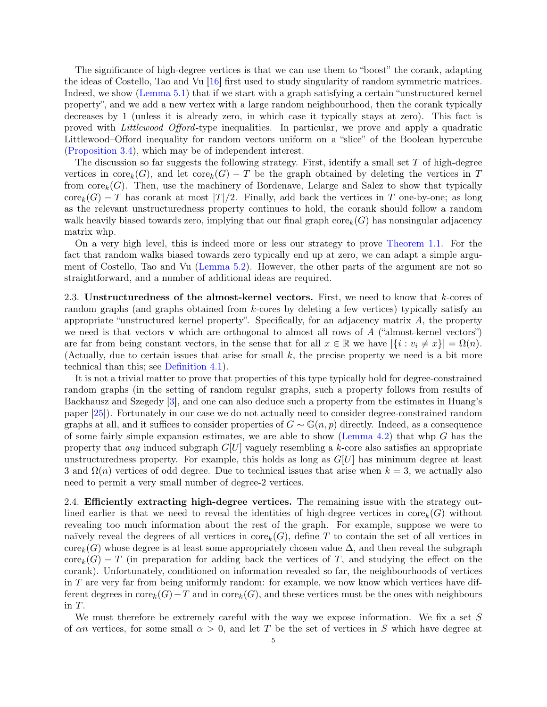<span id="page-4-0"></span>The significance of high-degree vertices is that we can use them to "boost" the corank, adapting the ideas of Costello, Tao and Vu [\[16\]](#page-23-2) first used to study singularity of random symmetric matrices. Indeed, we show [\(Lemma 5.1\)](#page-10-0) that if we start with a graph satisfying a certain "unstructured kernel property", and we add a new vertex with a large random neighbourhood, then the corank typically decreases by 1 (unless it is already zero, in which case it typically stays at zero). This fact is proved with Littlewood–Offord-type inequalities. In particular, we prove and apply a quadratic Littlewood–Offord inequality for random vectors uniform on a "slice" of the Boolean hypercube [\(Proposition 3.4\)](#page-6-0), which may be of independent interest.

The discussion so far suggests the following strategy. First, identify a small set  $T$  of high-degree vertices in core<sub>k</sub>(G), and let core<sub>k</sub>(G) – T be the graph obtained by deleting the vertices in T from  $\text{core}_k(G)$ . Then, use the machinery of Bordenave, Lelarge and Salez to show that typically  $\text{core}_k(G) - T$  has corank at most  $|T|/2$ . Finally, add back the vertices in T one-by-one; as long as the relevant unstructuredness property continues to hold, the corank should follow a random walk heavily biased towards zero, implying that our final graph  $\text{core}_k(G)$  has nonsingular adjacency matrix whp.

On a very high level, this is indeed more or less our strategy to prove [Theorem 1.1.](#page-1-1) For the fact that random walks biased towards zero typically end up at zero, we can adapt a simple argument of Costello, Tao and Vu [\(Lemma 5.2\)](#page-11-0). However, the other parts of the argument are not so straightforward, and a number of additional ideas are required.

2.3. Unstructuredness of the almost-kernel vectors. First, we need to know that k-cores of random graphs (and graphs obtained from k-cores by deleting a few vertices) typically satisfy an appropriate "unstructured kernel property". Specifically, for an adjacency matrix A, the property we need is that vectors  $\bf{v}$  which are orthogonal to almost all rows of A ("almost-kernel vectors") are far from being constant vectors, in the sense that for all  $x \in \mathbb{R}$  we have  $|\{i : v_i \neq x\}| = \Omega(n)$ . (Actually, due to certain issues that arise for small k, the precise property we need is a bit more technical than this; see [Definition 4.1\)](#page-7-0).

It is not a trivial matter to prove that properties of this type typically hold for degree-constrained random graphs (in the setting of random regular graphs, such a property follows from results of Backhausz and Szegedy [\[3\]](#page-23-23), and one can also deduce such a property from the estimates in Huang's paper [\[25\]](#page-23-15)). Fortunately in our case we do not actually need to consider degree-constrained random graphs at all, and it suffices to consider properties of  $G \sim \mathbb{G}(n, p)$  directly. Indeed, as a consequence of some fairly simple expansion estimates, we are able to show [\(Lemma 4.2\)](#page-7-1) that whp  $G$  has the property that *any* induced subgraph  $G[U]$  vaguely resembling a k-core also satisfies an appropriate unstructuredness property. For example, this holds as long as  $G[U]$  has minimum degree at least 3 and  $\Omega(n)$  vertices of odd degree. Due to technical issues that arise when  $k = 3$ , we actually also need to permit a very small number of degree-2 vertices.

2.4. Efficiently extracting high-degree vertices. The remaining issue with the strategy outlined earlier is that we need to reveal the identities of high-degree vertices in  $\text{core}_k(G)$  without revealing too much information about the rest of the graph. For example, suppose we were to naïvely reveal the degrees of all vertices in core<sub>k</sub> $(G)$ , define T to contain the set of all vertices in  $\text{core}_k(G)$  whose degree is at least some appropriately chosen value  $\Delta$ , and then reveal the subgraph  $\text{core}_k(G) - T$  (in preparation for adding back the vertices of T, and studying the effect on the corank). Unfortunately, conditioned on information revealed so far, the neighbourhoods of vertices in T are very far from being uniformly random: for example, we now know which vertices have different degrees in  $\text{core}_k(G)-T$  and in  $\text{core}_k(G)$ , and these vertices must be the ones with neighbours in  $T$ .

We must therefore be extremely careful with the way we expose information. We fix a set  $S$ of  $\alpha n$  vertices, for some small  $\alpha > 0$ , and let T be the set of vertices in S which have degree at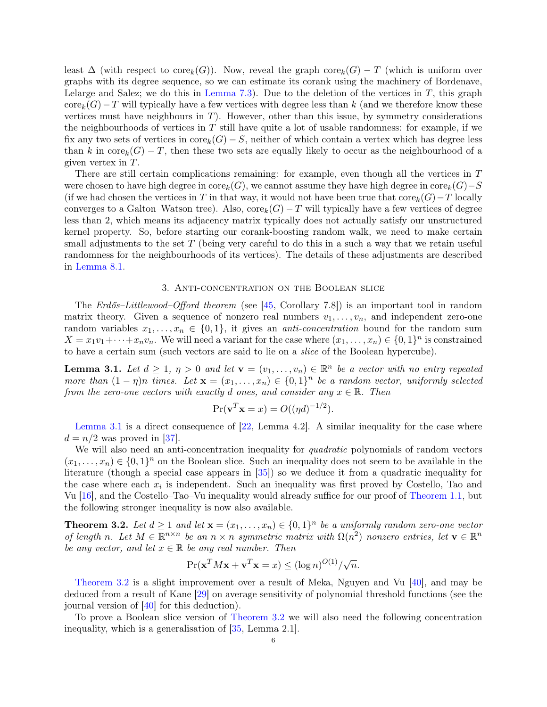<span id="page-5-3"></span>least  $\Delta$  (with respect to core $_k(G)$ ). Now, reveal the graph core $_k(G)$  – T (which is uniform over graphs with its degree sequence, so we can estimate its corank using the machinery of Bordenave, Lelarge and Salez; we do this in [Lemma 7.3\)](#page-15-1). Due to the deletion of the vertices in  $T$ , this graph  $\text{core}_k(G)-T$  will typically have a few vertices with degree less than k (and we therefore know these vertices must have neighbours in  $T$ ). However, other than this issue, by symmetry considerations the neighbourhoods of vertices in  $T$  still have quite a lot of usable randomness: for example, if we fix any two sets of vertices in  $\text{core}_k(G) - S$ , neither of which contain a vertex which has degree less than k in  $\text{core}_k(G) - T$ , then these two sets are equally likely to occur as the neighbourhood of a given vertex in T.

There are still certain complications remaining: for example, even though all the vertices in T were chosen to have high degree in  $\mathrm{core}_k(G)$ , we cannot assume they have high degree in  $\mathrm{core}_k(G)-S$ (if we had chosen the vertices in T in that way, it would not have been true that  $\text{core}_k(G)-T$  locally converges to a Galton–Watson tree). Also,  $\text{core}_k(G) - T$  will typically have a few vertices of degree less than 2, which means its adjacency matrix typically does not actually satisfy our unstructured kernel property. So, before starting our corank-boosting random walk, we need to make certain small adjustments to the set  $T$  (being very careful to do this in a such a way that we retain useful randomness for the neighbourhoods of its vertices). The details of these adjustments are described in [Lemma 8.1.](#page-18-0)

### 3. Anti-concentration on the Boolean slice

The Erdős–Littlewood–Offord theorem (see [\[45,](#page-24-9) Corollary 7.8]) is an important tool in random matrix theory. Given a sequence of nonzero real numbers  $v_1, \ldots, v_n$ , and independent zero-one random variables  $x_1, \ldots, x_n \in \{0,1\}$ , it gives an *anti-concentration* bound for the random sum  $X = x_1v_1 + \cdots + x_nv_n$ . We will need a variant for the case where  $(x_1, \ldots, x_n) \in \{0,1\}^n$  is constrained to have a certain sum (such vectors are said to lie on a slice of the Boolean hypercube).

<span id="page-5-0"></span>**Lemma 3.1.** Let  $d \geq 1$ ,  $\eta > 0$  and let  $\mathbf{v} = (v_1, \dots, v_n) \in \mathbb{R}^n$  be a vector with no entry repeated more than  $(1 - \eta)n$  times. Let  $\mathbf{x} = (x_1, \ldots, x_n) \in \{0, 1\}^n$  be a random vector, uniformly selected from the zero-one vectors with exactly d ones, and consider any  $x \in \mathbb{R}$ . Then

$$
\Pr(\mathbf{v}^T \mathbf{x} = x) = O((\eta d)^{-1/2}).
$$

[Lemma 3.1](#page-5-0) is a direct consequence of [\[22,](#page-23-24) Lemma 4.2]. A similar inequality for the case where  $d = n/2$  was proved in [\[37\]](#page-24-8).

We will also need an anti-concentration inequality for *quadratic* polynomials of random vectors  $(x_1, \ldots, x_n) \in \{0,1\}^n$  on the Boolean slice. Such an inequality does not seem to be available in the literature (though a special case appears in [\[35\]](#page-24-10)) so we deduce it from a quadratic inequality for the case where each  $x_i$  is independent. Such an inequality was first proved by Costello, Tao and Vu [\[16\]](#page-23-2), and the Costello–Tao–Vu inequality would already suffice for our proof of [Theorem 1.1,](#page-1-1) but the following stronger inequality is now also available.

<span id="page-5-1"></span>**Theorem 3.2.** Let  $d \geq 1$  and let  $\mathbf{x} = (x_1, \ldots, x_n) \in \{0, 1\}^n$  be a uniformly random zero-one vector of length n. Let  $M \in \mathbb{R}^{n \times n}$  be an  $n \times n$  symmetric matrix with  $\Omega(n^2)$  nonzero entries, let  $\mathbf{v} \in \mathbb{R}^n$ be any vector, and let  $x \in \mathbb{R}$  be any real number. Then

$$
\Pr(\mathbf{x}^T M \mathbf{x} + \mathbf{v}^T \mathbf{x} = x) \le (\log n)^{O(1)} / \sqrt{n}.
$$

[Theorem 3.2](#page-5-1) is a slight improvement over a result of Meka, Nguyen and Vu [\[40\]](#page-24-11), and may be deduced from a result of Kane [\[29\]](#page-23-25) on average sensitivity of polynomial threshold functions (see the journal version of [\[40\]](#page-24-11) for this deduction).

<span id="page-5-2"></span>To prove a Boolean slice version of [Theorem 3.2](#page-5-1) we will also need the following concentration inequality, which is a generalisation of [\[35,](#page-24-10) Lemma 2.1].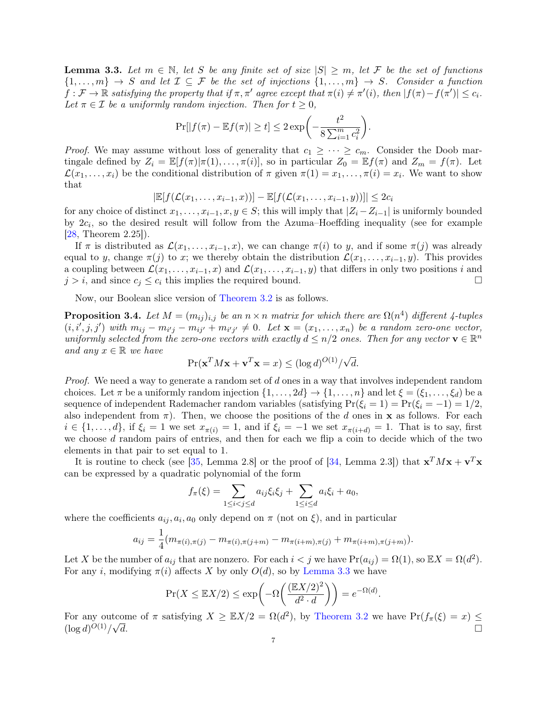<span id="page-6-1"></span>**Lemma 3.3.** Let  $m \in \mathbb{N}$ , let S be any finite set of size  $|S| \ge m$ , let F be the set of functions  $\{1,\ldots,m\} \to S$  and let  $\mathcal{I} \subseteq \mathcal{F}$  be the set of injections  $\{1,\ldots,m\} \to S$ . Consider a function  $f: \mathcal{F} \to \mathbb{R}$  satisfying the property that if  $\pi, \pi'$  agree except that  $\pi(i) \neq \pi'(i)$ , then  $|f(\pi) - f(\pi')| \leq c_i$ . Let  $\pi \in \mathcal{I}$  be a uniformly random injection. Then for  $t \geq 0$ ,

$$
\Pr[|f(\pi) - \mathbb{E}f(\pi)| \ge t] \le 2 \exp\left(-\frac{t^2}{8\sum_{i=1}^m c_i^2}\right).
$$

*Proof.* We may assume without loss of generality that  $c_1 \geq \cdots \geq c_m$ . Consider the Doob martingale defined by  $Z_i = \mathbb{E}[f(\pi)|\pi(1), \ldots, \pi(i)]$ , so in particular  $Z_0 = \mathbb{E}[f(\pi)]$  and  $Z_m = f(\pi)$ . Let  $\mathcal{L}(x_1,\ldots,x_i)$  be the conditional distribution of  $\pi$  given  $\pi(1)=x_1,\ldots,\pi(i)=x_i$ . We want to show that

$$
|\mathbb{E}[f(\mathcal{L}(x_1,\ldots,x_{i-1},x))] - \mathbb{E}[f(\mathcal{L}(x_1,\ldots,x_{i-1},y))]| \leq 2c_i
$$

for any choice of distinct  $x_1, \ldots, x_{i-1}, x, y \in S$ ; this will imply that  $|Z_i - Z_{i-1}|$  is uniformly bounded by  $2c_i$ , so the desired result will follow from the Azuma–Hoeffding inequality (see for example [\[28,](#page-23-26) Theorem 2.25]).

If  $\pi$  is distributed as  $\mathcal{L}(x_1, \ldots, x_{i-1}, x)$ , we can change  $\pi(i)$  to y, and if some  $\pi(j)$  was already equal to y, change  $\pi(j)$  to x; we thereby obtain the distribution  $\mathcal{L}(x_1, \ldots, x_{i-1}, y)$ . This provides a coupling between  $\mathcal{L}(x_1,\ldots,x_{i-1},x)$  and  $\mathcal{L}(x_1,\ldots,x_{i-1},y)$  that differs in only two positions i and  $j > i$ , and since  $c_j \leq c_i$  this implies the required bound.

Now, our Boolean slice version of [Theorem 3.2](#page-5-1) is as follows.

<span id="page-6-0"></span>**Proposition 3.4.** Let  $M = (m_{ij})_{i,j}$  be an  $n \times n$  matrix for which there are  $\Omega(n^4)$  different 4-tuples  $(i, i', j, j')$  with  $m_{ij} - m_{i'j} - m_{ij'} + m_{i'j'} \neq 0$ . Let  $\mathbf{x} = (x_1, \ldots, x_n)$  be a random zero-one vector, uniformly selected from the zero-one vectors with exactly  $d \leq n/2$  ones. Then for any vector  $\mathbf{v} \in \mathbb{R}^n$ and any  $x \in \mathbb{R}$  we have √

$$
\Pr(\mathbf{x}^T M \mathbf{x} + \mathbf{v}^T \mathbf{x} = x) \le (\log d)^{O(1)} / \sqrt{d}.
$$

Proof. We need a way to generate a random set of d ones in a way that involves independent random choices. Let  $\pi$  be a uniformly random injection  $\{1,\ldots,2d\}\to\{1,\ldots,n\}$  and let  $\xi=(\xi_1,\ldots,\xi_d)$  be a sequence of independent Rademacher random variables (satisfying  $Pr(\xi_i = 1) = Pr(\xi_i = -1) = 1/2$ , also independent from  $\pi$ ). Then, we choose the positions of the d ones in **x** as follows. For each  $i \in \{1, \ldots, d\}$ , if  $\xi_i = 1$  we set  $x_{\pi(i)} = 1$ , and if  $\xi_i = -1$  we set  $x_{\pi(i+d)} = 1$ . That is to say, first we choose d random pairs of entries, and then for each we flip a coin to decide which of the two elements in that pair to set equal to 1.

It is routine to check (see [\[35,](#page-24-10) Lemma 2.8] or the proof of [\[34,](#page-24-12) Lemma 2.3]) that  $\mathbf{x}^T M \mathbf{x} + \mathbf{v}^T \mathbf{x}$ can be expressed by a quadratic polynomial of the form

$$
f_{\pi}(\xi) = \sum_{1 \le i < j \le d} a_{ij} \xi_i \xi_j + \sum_{1 \le i \le d} a_i \xi_i + a_0,
$$

where the coefficients  $a_{ij}, a_i, a_0$  only depend on  $\pi$  (not on  $\xi$ ), and in particular

$$
a_{ij} = \frac{1}{4}(m_{\pi(i),\pi(j)} - m_{\pi(i),\pi(j+m)} - m_{\pi(i+m),\pi(j)} + m_{\pi(i+m),\pi(j+m)}).
$$

Let X be the number of  $a_{ij}$  that are nonzero. For each  $i < j$  we have  $Pr(a_{ij}) = \Omega(1)$ , so  $\mathbb{E}X = \Omega(d^2)$ . For any i, modifying  $\pi(i)$  affects X by only  $O(d)$ , so by [Lemma 3.3](#page-5-2) we have

$$
\Pr(X \le \mathbb{E}X/2) \le \exp\left(-\Omega\left(\frac{(\mathbb{E}X/2)^2}{d^2 \cdot d}\right)\right) = e^{-\Omega(d)}.
$$

For any outcome of  $\pi$  satisfying  $X \geq \mathbb{E}X/2 = \Omega(d^2)$ , by [Theorem 3.2](#page-5-1) we have  $\Pr(f_{\pi}(\xi) = x) \leq$  $(\log d)^{O(1)}/$  $\overline{d}$ .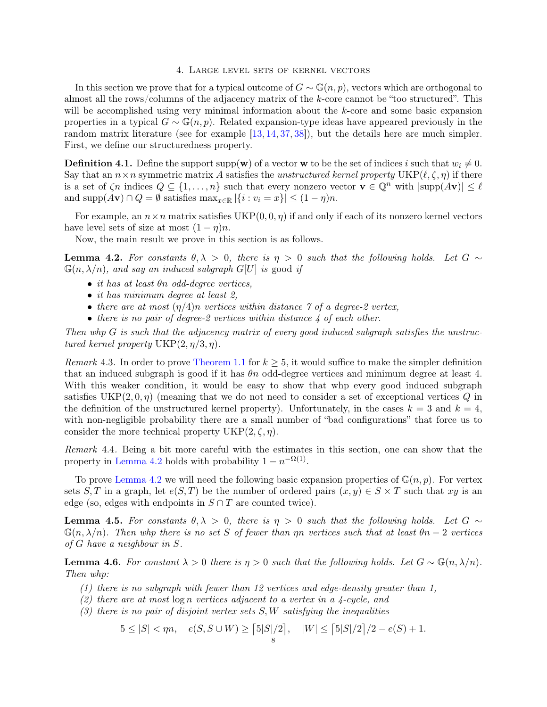#### 4. Large level sets of kernel vectors

<span id="page-7-5"></span><span id="page-7-4"></span>In this section we prove that for a typical outcome of  $G \sim \mathbb{G}(n, p)$ , vectors which are orthogonal to almost all the rows/columns of the adjacency matrix of the  $k$ -core cannot be "too structured". This will be accomplished using very minimal information about the k-core and some basic expansion properties in a typical  $G \sim \mathbb{G}(n, p)$ . Related expansion-type ideas have appeared previously in the random matrix literature (see for example [\[13,](#page-23-27) [14,](#page-23-16) [37,](#page-24-8) [38\]](#page-24-13)), but the details here are much simpler. First, we define our structuredness property.

<span id="page-7-0"></span>**Definition 4.1.** Define the support supp(w) of a vector w to be the set of indices i such that  $w_i \neq 0$ . Say that an  $n \times n$  symmetric matrix A satisfies the unstructured kernel property UKP( $\ell, \zeta, \eta$ ) if there is a set of  $\zeta n$  indices  $Q \subseteq \{1, \ldots, n\}$  such that every nonzero vector  $\mathbf{v} \in \mathbb{Q}^n$  with  $|\text{supp}(A\mathbf{v})| \leq \ell$ and supp $(A\mathbf{v}) \cap Q = \emptyset$  satisfies  $\max_{x \in \mathbb{R}} |\{i : v_i = x\}| \leq (1 - \eta)n$ .

For example, an  $n \times n$  matrix satisfies UKP $(0, 0, \eta)$  if and only if each of its nonzero kernel vectors have level sets of size at most  $(1 - \eta)n$ .

Now, the main result we prove in this section is as follows.

<span id="page-7-1"></span>**Lemma 4.2.** For constants  $\theta, \lambda > 0$ , there is  $\eta > 0$  such that the following holds. Let  $G \sim$  $\mathbb{G}(n, \lambda/n)$ , and say an induced subgraph  $G[U]$  is good if

- it has at least  $\theta$ n odd-degree vertices,
- it has minimum degree at least 2,
- there are at most  $(\eta/4)n$  vertices within distance  $\gamma$  of a degree-2 vertex,
- there is no pair of degree-2 vertices within distance  $\lambda$  of each other.

Then whp G is such that the adjacency matrix of every good induced subgraph satisfies the unstructured kernel property  $UKP(2, \eta/3, \eta)$ .

Remark 4.3. In order to prove [Theorem 1.1](#page-1-1) for  $k \geq 5$ , it would suffice to make the simpler definition that an induced subgraph is good if it has  $\theta$ n odd-degree vertices and minimum degree at least 4. With this weaker condition, it would be easy to show that whp every good induced subgraph satisfies  $UKP(2, 0, \eta)$  (meaning that we do not need to consider a set of exceptional vertices Q in the definition of the unstructured kernel property). Unfortunately, in the cases  $k = 3$  and  $k = 4$ , with non-negligible probability there are a small number of "bad configurations" that force us to consider the more technical property  $UKP(2, \zeta, \eta)$ .

Remark 4.4. Being a bit more careful with the estimates in this section, one can show that the property in [Lemma 4.2](#page-7-1) holds with probability  $1 - n^{-\Omega(1)}$ .

To prove [Lemma 4.2](#page-7-1) we will need the following basic expansion properties of  $\mathbb{G}(n, p)$ . For vertex sets S, T in a graph, let  $e(S,T)$  be the number of ordered pairs  $(x,y) \in S \times T$  such that xy is an edge (so, edges with endpoints in  $S \cap T$  are counted twice).

<span id="page-7-2"></span>**Lemma 4.5.** For constants  $\theta, \lambda > 0$ , there is  $\eta > 0$  such that the following holds. Let  $G \sim$  $\mathbb{G}(n,\lambda/n)$ . Then whp there is no set S of fewer than  $\eta n$  vertices such that at least  $\theta n - 2$  vertices of G have a neighbour in S.

<span id="page-7-3"></span>**Lemma 4.6.** For constant  $\lambda > 0$  there is  $\eta > 0$  such that the following holds. Let  $G \sim \mathbb{G}(n, \lambda/n)$ . Then whp:

- (1) there is no subgraph with fewer than 12 vertices and edge-density greater than 1,
- (2) there are at most  $\log n$  vertices adjacent to a vertex in a 4-cycle, and
- $(3)$  there is no pair of disjoint vertex sets  $S, W$  satisfying the inequalities

$$
5 \le |S| < \eta n, \quad e(S, S \cup W) \ge \lceil 5|S|/2 \rceil, \quad |W| \le \lceil 5|S|/2 \rceil/2 - e(S) + 1.
$$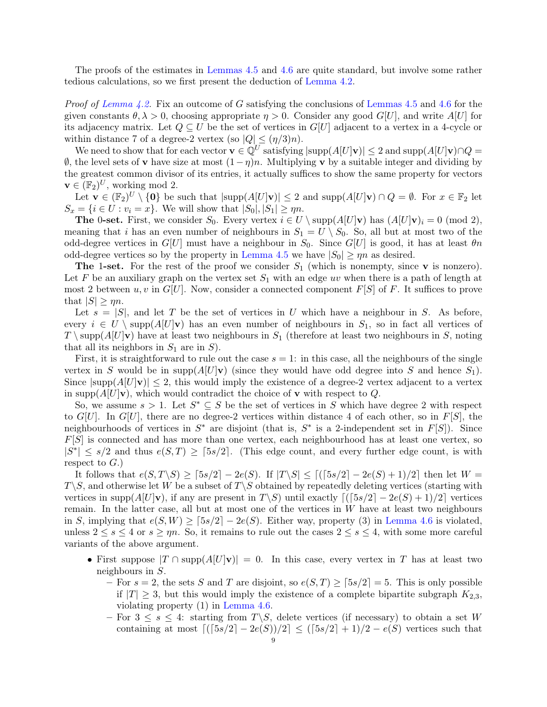The proofs of the estimates in [Lemmas 4.5](#page-7-2) and [4.6](#page-7-3) are quite standard, but involve some rather tedious calculations, so we first present the deduction of [Lemma 4.2.](#page-7-1)

*Proof of [Lemma 4.2.](#page-7-1)* Fix an outcome of G satisfying the conclusions of [Lemmas 4.5](#page-7-2) and [4.6](#page-7-3) for the given constants  $\theta$ ,  $\lambda > 0$ , choosing appropriate  $\eta > 0$ . Consider any good  $G[U]$ , and write  $A[U]$  for its adjacency matrix. Let  $Q \subseteq U$  be the set of vertices in  $G[U]$  adjacent to a vertex in a 4-cycle or within distance 7 of a degree-2 vertex (so  $|Q| \leq (\eta/3)n$ ).

We need to show that for each vector  $\mathbf{v} \in \mathbb{Q}^U$  satisfying  $|\text{supp}(A[U]\mathbf{v})| \leq 2$  and  $\text{supp}(A[U]\mathbf{v}) \cap Q =$ ∅, the level sets of v have size at most (1−η)n. Multiplying v by a suitable integer and dividing by the greatest common divisor of its entries, it actually suffices to show the same property for vectors  $\mathbf{v} \in (\mathbb{F}_2)^U$ , working mod 2.

Let  $\mathbf{v} \in (\mathbb{F}_2)^U \setminus \{0\}$  be such that  $|\text{supp}(A[U]\mathbf{v})| \leq 2$  and  $\text{supp}(A[U]\mathbf{v}) \cap Q = \emptyset$ . For  $x \in \mathbb{F}_2$  let  $S_x = \{i \in U : v_i = x\}$ . We will show that  $|S_0|, |S_1| \geq \eta n$ .

**The 0-set.** First, we consider  $S_0$ . Every vertex  $i \in U \setminus \text{supp}(A[U]\mathbf{v})$  has  $(A[U]\mathbf{v})_i = 0 \pmod{2}$ , meaning that i has an even number of neighbours in  $S_1 = U \setminus S_0$ . So, all but at most two of the odd-degree vertices in  $G[U]$  must have a neighbour in  $S_0$ . Since  $G[U]$  is good, it has at least  $\theta n$ odd-degree vertices so by the property in [Lemma 4.5](#page-7-2) we have  $|S_0| \ge \eta n$  as desired.

**The 1-set.** For the rest of the proof we consider  $S_1$  (which is nonempty, since **v** is nonzero). Let F be an auxiliary graph on the vertex set  $S_1$  with an edge uv when there is a path of length at most 2 between u, v in  $G[U]$ . Now, consider a connected component  $F[S]$  of F. It suffices to prove that  $|S| \geq \eta n$ .

Let  $s = |S|$ , and let T be the set of vertices in U which have a neighbour in S. As before, every  $i \in U \setminus \text{supp}(A[U]\mathbf{v})$  has an even number of neighbours in  $S_1$ , so in fact all vertices of  $T \setminus \text{supp}(A[U]\mathbf{v})$  have at least two neighbours in  $S_1$  (therefore at least two neighbours in S, noting that all its neighbors in  $S_1$  are in  $S$ ).

First, it is straightforward to rule out the case  $s = 1$ : in this case, all the neighbours of the single vertex in S would be in supp $(A[U]\mathbf{v})$  (since they would have odd degree into S and hence  $S_1$ ). Since  $|\text{supp}(A[U]\mathbf{v})| \leq 2$ , this would imply the existence of a degree-2 vertex adjacent to a vertex in supp $(A[U]\mathbf{v})$ , which would contradict the choice of **v** with respect to Q.

So, we assume  $s > 1$ . Let  $S^* \subseteq S$  be the set of vertices in S which have degree 2 with respect to G[U]. In G[U], there are no degree-2 vertices within distance 4 of each other, so in  $F[S]$ , the neighbourhoods of vertices in  $S^*$  are disjoint (that is,  $S^*$  is a 2-independent set in  $F[S]$ ). Since  $F[S]$  is connected and has more than one vertex, each neighbourhood has at least one vertex, so  $|S^*| \leq s/2$  and thus  $e(S,T) \geq [5s/2]$ . (This edge count, and every further edge count, is with respect to  $G$ .)

It follows that  $e(S, T \ S) \geq \lceil 5s/2 \rceil - 2e(S)$ . If  $|T \ S| \leq \lceil (\lceil 5s/2 \rceil - 2e(S) + 1)/2 \rceil$  then let  $W =$  $T\backslash S$ , and otherwise let W be a subset of  $T\backslash S$  obtained by repeatedly deleting vertices (starting with vertices in supp $(A[U]\mathbf{v})$ , if any are present in  $T\backslash S$ ) until exactly  $[(5s/2]-2e(S)+1)/2]$  vertices remain. In the latter case, all but at most one of the vertices in  $W$  have at least two neighbours in S, implying that  $e(S, W) \geq \lceil 5s/2 \rceil - 2e(S)$ . Either way, property (3) in [Lemma 4.6](#page-7-3) is violated, unless  $2 \leq s \leq 4$  or  $s \geq \eta n$ . So, it remains to rule out the cases  $2 \leq s \leq 4$ , with some more careful variants of the above argument.

- First suppose  $|T \cap \text{supp}(A[U|\mathbf{v})] = 0$ . In this case, every vertex in T has at least two neighbours in S.
	- For  $s = 2$ , the sets S and T are disjoint, so  $e(S,T) \geq \lceil 5s/2 \rceil = 5$ . This is only possible if  $|T| \geq 3$ , but this would imply the existence of a complete bipartite subgraph  $K_{2,3}$ , violating property (1) in [Lemma 4.6.](#page-7-3)
	- For  $3 \leq s \leq 4$ : starting from  $T\backslash S$ , delete vertices (if necessary) to obtain a set W containing at most  $[(5s/2] - 2e(S))/2] \leq (5s/2 + 1)/2 - e(S)$  vertices such that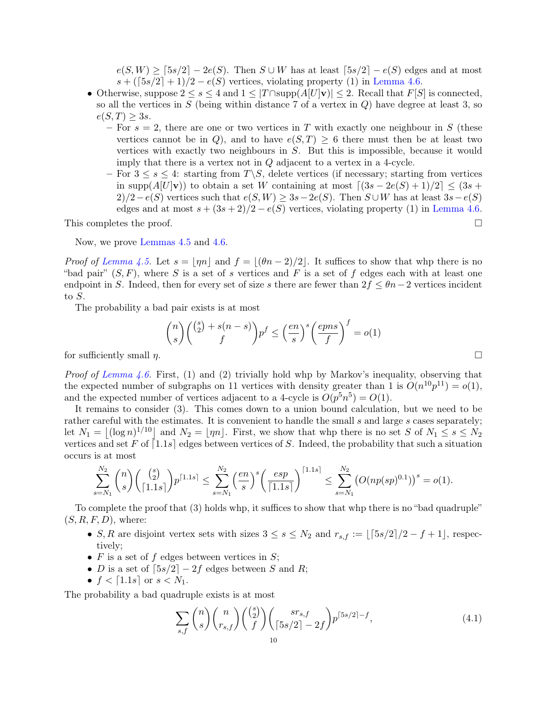$e(S, W) \geq \lceil 5s/2 \rceil - 2e(S)$ . Then  $S \cup W$  has at least  $\lceil 5s/2 \rceil - e(S)$  edges and at most  $s + (\lceil 5s/2 \rceil + 1)/2 - e(S)$  vertices, violating property (1) in [Lemma 4.6.](#page-7-3)

- Otherwise, suppose  $2 \leq s \leq 4$  and  $1 \leq |T \cap \text{supp}(A[U]\mathbf{v})| \leq 2$ . Recall that  $F[S]$  is connected. so all the vertices in  $S$  (being within distance 7 of a vertex in  $Q$ ) have degree at least 3, so  $e(S,T) \geq 3s$ .
	- For  $s = 2$ , there are one or two vertices in T with exactly one neighbour in S (these vertices cannot be in Q), and to have  $e(S,T) \geq 6$  there must then be at least two vertices with exactly two neighbours in S. But this is impossible, because it would imply that there is a vertex not in Q adjacent to a vertex in a 4-cycle.
	- For  $3 \leq s \leq 4$ : starting from  $T\backslash S$ , delete vertices (if necessary; starting from vertices in supp $(A[U]\mathbf{v})$  to obtain a set W containing at most  $\left[ (3s - 2e(S) + 1)/2 \right] \leq (3s + 1)$  $2)/2-e(S)$  vertices such that  $e(S, W) \geq 3s-2e(S)$ . Then  $S \cup W$  has at least  $3s-e(S)$ edges and at most  $s + (3s + 2)/2 - e(S)$  vertices, violating property (1) in [Lemma 4.6.](#page-7-3)

This completes the proof.  $\square$ 

Now, we prove [Lemmas 4.5](#page-7-2) and [4.6.](#page-7-3)

*Proof of [Lemma 4.5.](#page-7-2)* Let  $s = |\eta n|$  and  $f = |(\theta n - 2)/2|$ . It suffices to show that whp there is no "bad pair"  $(S, F)$ , where S is a set of s vertices and F is a set of f edges each with at least one endpoint in S. Indeed, then for every set of size s there are fewer than  $2f \leq \theta n-2$  vertices incident to S.

The probability a bad pair exists is at most

$$
\binom{n}{s} \binom{\binom{s}{2} + s(n-s)}{f} p^f \le \left(\frac{en}{s}\right)^s \left(\frac{epns}{f}\right)^f = o(1)
$$
\nfor sufficiently small  $n$ .

\n
$$
\Box
$$

*Proof of [Lemma 4.6.](#page-7-3)* First, (1) and (2) trivially hold whp by Markov's inequality, observing that the expected number of subgraphs on 11 vertices with density greater than 1 is  $O(n^{10}p^{11}) = o(1)$ , and the expected number of vertices adjacent to a 4-cycle is  $O(p^5n^5) = O(1)$ .

It remains to consider (3). This comes down to a union bound calculation, but we need to be rather careful with the estimates. It is convenient to handle the small s and large s cases separately; let  $N_1 = |(\log n)^{1/10}|$  and  $N_2 = |m_1|$ . First, we show that whp there is no set S of  $N_1 \le s \le N_2$ vertices and set F of  $\lceil 1.1s \rceil$  edges between vertices of S. Indeed, the probability that such a situation occurs is at most

$$
\sum_{s=N_1}^{N_2} \binom{n}{s} \binom{\binom{s}{2}}{\lceil 1.1s\rceil} p^{\lceil 1.1s\rceil} \le \sum_{s=N_1}^{N_2} \left(\frac{en}{s}\right)^s \left(\frac{esp}{\lceil 1.1s\rceil}\right)^{\lceil 1.1s\rceil} \le \sum_{s=N_1}^{N_2} \left(O(np(sp)^{0.1})\right)^s = o(1).
$$

To complete the proof that (3) holds whp, it suffices to show that whp there is no "bad quadruple"  $(S, R, F, D)$ , where:

- S, R are disjoint vertex sets with sizes  $3 \leq s \leq N_2$  and  $r_{s,f} := \lfloor \lceil 5s/2 \rceil/2 f + 1 \rfloor$ , respectively;
- $F$  is a set of  $f$  edges between vertices in  $S$ ;
- D is a set of  $\lceil 5s/2 \rceil 2f$  edges between S and R;
- $f < [1.1s]$  or  $s < N_1$ .

The probability a bad quadruple exists is at most

<span id="page-9-0"></span>
$$
\sum_{s,f} \binom{n}{s} \binom{n}{r_{s,f}} \binom{\binom{s}{2}}{f} \binom{sr_{s,f}}{\left\lceil 5s/2 \right\rceil - 2f} p^{\left\lceil 5s/2 \right\rceil - f},\tag{4.1}
$$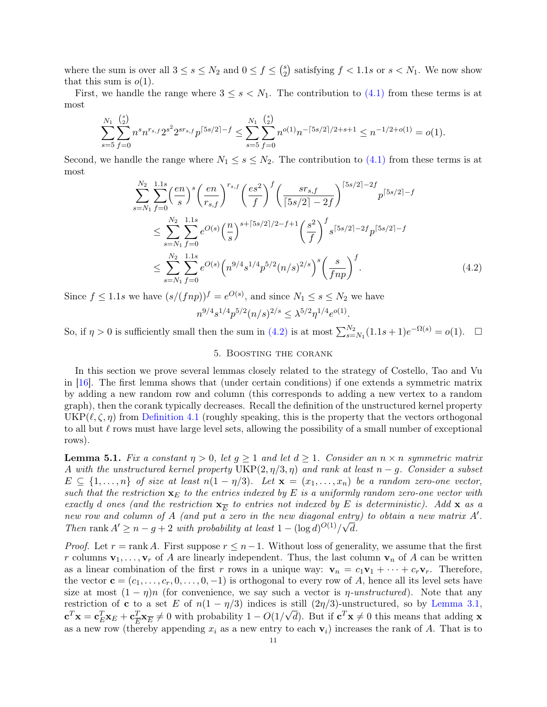<span id="page-10-3"></span>where the sum is over all  $3 \leq s \leq N_2$  and  $0 \leq f \leq {s \choose 2}$  $_2^s$ ) satisfying  $f < 1.1s$  or  $s < N_1$ . We now show that this sum is  $o(1)$ .

First, we handle the range where  $3 \leq s \leq N_1$ . The contribution to [\(4.1\)](#page-9-0) from these terms is at most

$$
\sum_{s=5}^{N_1} \sum_{f=0}^{s \choose 2} n^s n^{r_{s,f}} 2^{s^2} 2^{sr_{s,f}} p^{\lceil 5s/2 \rceil - f} \le \sum_{s=5}^{N_1} \sum_{f=0}^{s \choose 2} n^{o(1)} n^{-\lceil 5s/2 \rceil / 2 + s + 1} \le n^{-1/2 + o(1)} = o(1).
$$

Second, we handle the range where  $N_1 \leq s \leq N_2$ . The contribution to [\(4.1\)](#page-9-0) from these terms is at most

$$
\sum_{s=N_1}^{N_2} \sum_{f=0}^{1.1s} \left(\frac{en}{s}\right)^s \left(\frac{en}{r_{s,f}}\right)^{r_{s,f}} \left(\frac{es^2}{f}\right)^f \left(\frac{sr_{s,f}}{\lceil 5s/2 \rceil - 2f} \right)^{\lceil 5s/2 \rceil - 2f} p^{\lceil 5s/2 \rceil - f}
$$
\n
$$
\leq \sum_{s=N_1}^{N_2} \sum_{f=0}^{1.1s} e^{O(s)} \left(\frac{n}{s}\right)^{s + \lceil 5s/2 \rceil / 2 - f + 1} \left(\frac{s^2}{f}\right)^f s^{\lceil 5s/2 \rceil - 2f} p^{\lceil 5s/2 \rceil - f}
$$
\n
$$
\leq \sum_{s=N_1}^{N_2} \sum_{f=0}^{1.1s} e^{O(s)} \left(n^{9/4} s^{1/4} p^{5/2} (n/s)^{2/s}\right)^s \left(\frac{s}{f n p}\right)^f. \tag{4.2}
$$

Since  $f \leq 1.1s$  we have  $(s/(fnp))^f = e^{O(s)}$ , and since  $N_1 \leq s \leq N_2$  we have  $n^{9/4} s^{1/4} p^{5/2} (n/s)^{2/s} \leq \lambda^{5/2} \eta^{1/4} e^{o(1)}.$ 

So, if  $\eta > 0$  is sufficiently small then the sum in [\(4.2\)](#page-10-1) is at most  $\sum_{s=N_1}^{N_2} (1.1s+1)e^{-\Omega(s)} = o(1)$ .  $\Box$ 

# <span id="page-10-1"></span>5. Boosting the corank

<span id="page-10-2"></span>In this section we prove several lemmas closely related to the strategy of Costello, Tao and Vu in [\[16\]](#page-23-2). The first lemma shows that (under certain conditions) if one extends a symmetric matrix by adding a new random row and column (this corresponds to adding a new vertex to a random graph), then the corank typically decreases. Recall the definition of the unstructured kernel property  $UKP(\ell, \zeta, \eta)$  from [Definition 4.1](#page-7-0) (roughly speaking, this is the property that the vectors orthogonal to all but  $\ell$  rows must have large level sets, allowing the possibility of a small number of exceptional rows).

<span id="page-10-0"></span>**Lemma 5.1.** Fix a constant  $\eta > 0$ , let  $g \ge 1$  and let  $d \ge 1$ . Consider an  $n \times n$  symmetric matrix A with the unstructured kernel property  $\text{UKP}(2, \eta/3, \eta)$  and rank at least  $n - g$ . Consider a subset  $E \subseteq \{1,\ldots,n\}$  of size at least  $n(1 - \eta/3)$ . Let  $\mathbf{x} = (x_1,\ldots,x_n)$  be a random zero-one vector, such that the restriction  $\mathbf{x}_E$  to the entries indexed by E is a uniformly random zero-one vector with exactly d ones (and the restriction  $\mathbf{x}_{\overline{E}}$  to entries not indexed by E is deterministic). Add  $\mathbf{x}$  as a new row and column of A (and put a zero in the new diagonal entry) to obtain a new matrix A'. Then rank  $A' \geq n - g + 2$  with probability at least  $1 - (\log d)^{O(1)}/\sqrt{d}$ .

*Proof.* Let  $r = \text{rank } A$ . First suppose  $r \leq n-1$ . Without loss of generality, we assume that the first r columns  $\mathbf{v}_1, \ldots, \mathbf{v}_r$  of A are linearly independent. Thus, the last column  $\mathbf{v}_n$  of A can be written as a linear combination of the first r rows in a unique way:  $\mathbf{v}_n = c_1 \mathbf{v}_1 + \cdots + c_r \mathbf{v}_r$ . Therefore, the vector  $\mathbf{c} = (c_1, \ldots, c_r, 0, \ldots, 0, -1)$  is orthogonal to every row of A, hence all its level sets have size at most  $(1 - \eta)n$  (for convenience, we say such a vector is  $\eta$ -unstructured). Note that any restriction of **c** to a set E of  $n(1 - \eta/3)$  indices is still  $(2\eta/3)$ -unstructured, so by [Lemma 3.1,](#page-5-0)  $\mathbf{c}^T\mathbf{x} = \mathbf{c}_E^T\mathbf{x}_E + \mathbf{c}_{\overline{E}}^T$  $\frac{T}{E} \mathbf{x}_{\overline{E}} \neq 0$  with probability  $1 - O(1/\sqrt{d})$ . But if  $\mathbf{c}^T \mathbf{x} \neq 0$  this means that adding  $\mathbf{x}$ as a new row (thereby appending  $x_i$  as a new entry to each  $v_i$ ) increases the rank of A. That is to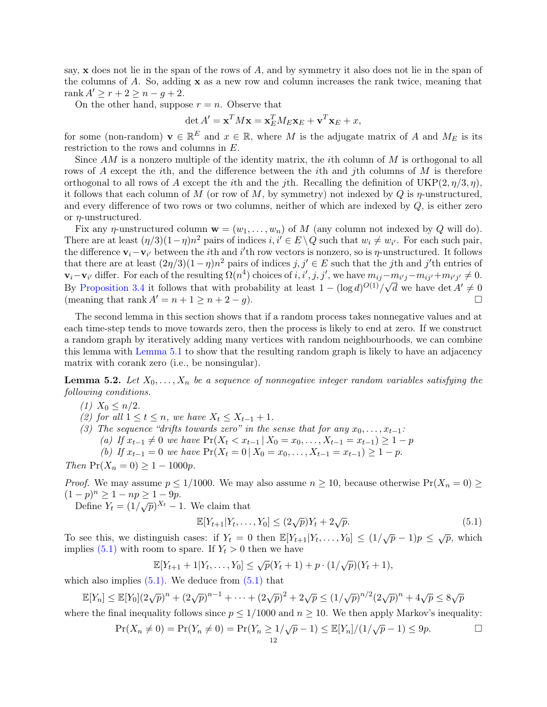say, x does not lie in the span of the rows of A, and by symmetry it also does not lie in the span of the columns of A. So, adding x as a new row and column increases the rank twice, meaning that rank  $A' \geq r + 2 \geq n - q + 2$ .

On the other hand, suppose  $r = n$ . Observe that

$$
\det A' = \mathbf{x}^T M \mathbf{x} = \mathbf{x}_E^T M_E \mathbf{x}_E + \mathbf{v}^T \mathbf{x}_E + x,
$$

for some (non-random)  $\mathbf{v} \in \mathbb{R}^E$  and  $x \in \mathbb{R}$ , where M is the adjugate matrix of A and  $M_E$  is its restriction to the rows and columns in E.

Since  $AM$  is a nonzero multiple of the identity matrix, the *i*th column of  $M$  is orthogonal to all rows of A except the ith, and the difference between the ith and jth columns of M is therefore orthogonal to all rows of A except the *i*th and the *j*th. Recalling the definition of  $UKP(2, \eta/3, \eta)$ , it follows that each column of M (or row of M, by symmetry) not indexed by Q is  $\eta$ -unstructured, and every difference of two rows or two columns, neither of which are indexed by  $Q$ , is either zero or η-unstructured.

Fix any  $\eta$ -unstructured column  $\mathbf{w} = (w_1, \dots, w_n)$  of M (any column not indexed by Q will do). There are at least  $(\eta/3)(1-\eta)n^2$  pairs of indices  $i, i' \in E \setminus Q$  such that  $w_i \neq w_{i'}$ . For each such pair, the difference  $v_i - v_{i'}$  between the *i*th and *i*'th row vectors is nonzero, so is  $\eta$ -unstructured. It follows that there are at least  $(2\eta/3)(1-\eta)n^2$  pairs of indices  $j, j' \in E$  such that the j<sup>th</sup> and j'<sup>th</sup> entries of  $\mathbf{v}_i - \mathbf{v}_{i'}$  differ. For each of the resulting  $\Omega(n^4)$  choices of  $i, i', j, j'$ , we have  $m_{ij} - m_{i'j} - m_{ij'} + m_{i'j'} \neq 0$ . By [Proposition 3.4](#page-6-0) it follows that with probability at least  $1 - (\log d)^{O(1)}/\sqrt{d}$  we have det  $A' \neq 0$ (meaning that rank  $A' = n + 1 \ge n + 2 - q$ ).

The second lemma in this section shows that if a random process takes nonnegative values and at each time-step tends to move towards zero, then the process is likely to end at zero. If we construct a random graph by iteratively adding many vertices with random neighbourhoods, we can combine this lemma with [Lemma 5.1](#page-10-0) to show that the resulting random graph is likely to have an adjacency matrix with corank zero (i.e., be nonsingular).

<span id="page-11-0"></span>**Lemma 5.2.** Let  $X_0, \ldots, X_n$  be a sequence of nonnegative integer random variables satisfying the following conditions.

(1)  $X_0 \leq n/2$ .

(2) for all  $1 \leq t \leq n$ , we have  $X_t \leq X_{t-1} + 1$ .

(3) The sequence "drifts towards zero" in the sense that for any  $x_0, \ldots, x_{t-1}$ :

(a) If  $x_{t-1} \neq 0$  we have  $Pr(X_t < x_{t-1} \mid X_0 = x_0, \ldots, X_{t-1} = x_{t-1}) \geq 1 - p$ 

(b) If  $x_{t-1} = 0$  we have  $Pr(X_t = 0 | X_0 = x_0, \ldots, X_{t-1} = x_{t-1}) \ge 1 - p$ .

Then  $Pr(X_n = 0) \ge 1 - 1000p$ .

*Proof.* We may assume  $p \le 1/1000$ . We may also assume  $n \ge 10$ , because otherwise  $Pr(X_n = 0) \ge$  $(1-p)^n \ge 1 - np \ge 1 - 9p.$ 

 $\frac{p}{\text{Define } Y_t} = \frac{(1/\sqrt{p})^{X_t} - 1}{(1/\sqrt{p})^{X_t} - 1}$ . We claim that

<span id="page-11-1"></span>
$$
\mathbb{E}[Y_{t+1}|Y_t, \dots, Y_0] \le (2\sqrt{p})Y_t + 2\sqrt{p}.\tag{5.1}
$$

To see this, we distinguish cases: if  $Y_t = 0$  then  $\mathbb{E}[Y_{t+1}|Y_t,\ldots,Y_0] \leq (1/\sqrt{p}-1)p \leq \sqrt{p}$ , which implies [\(5.1\)](#page-11-1) with room to spare. If  $Y_t > 0$  then we have

$$
\mathbb{E}[Y_{t+1} + 1 | Y_t, \dots, Y_0] \le \sqrt{p}(Y_t + 1) + p \cdot (1/\sqrt{p})(Y_t + 1),
$$

which also implies  $(5.1)$ . We deduce from  $(5.1)$  that

$$
\mathbb{E}[Y_n] \le \mathbb{E}[Y_0](2\sqrt{p})^n + (2\sqrt{p})^{n-1} + \dots + (2\sqrt{p})^2 + 2\sqrt{p} \le (1/\sqrt{p})^{n/2}(2\sqrt{p})^n + 4\sqrt{p} \le 8\sqrt{p}
$$

where the final inequality follows since  $p \le 1/1000$  and  $n \ge 10$ . We then apply Markov's inequality:

$$
\Pr(X_n \neq 0) = \Pr(Y_n \neq 0) = \Pr(Y_n \geq 1/\sqrt{p} - 1) \leq \mathbb{E}[Y_n]/(1/\sqrt{p} - 1) \leq 9p.
$$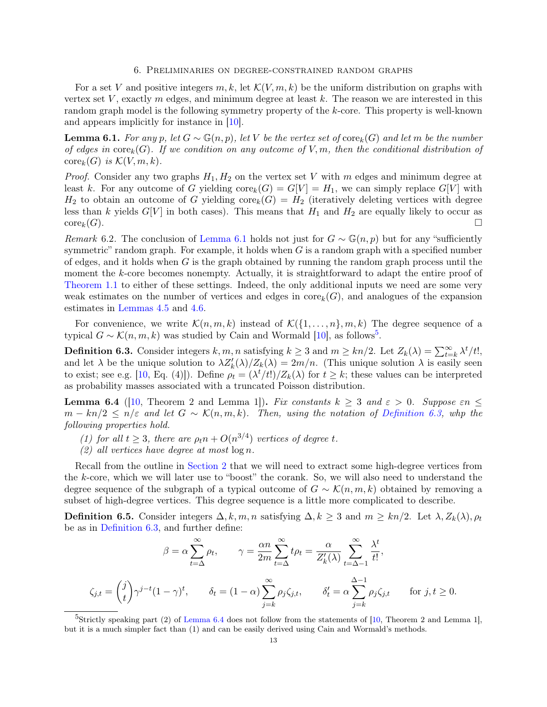#### 6. Preliminaries on degree-constrained random graphs

<span id="page-12-7"></span>For a set V and positive integers  $m, k$ , let  $\mathcal{K}(V, m, k)$  be the uniform distribution on graphs with vertex set  $V$ , exactly m edges, and minimum degree at least  $k$ . The reason we are interested in this random graph model is the following symmetry property of the k-core. This property is well-known and appears implicitly for instance in [\[10\]](#page-23-9).

<span id="page-12-2"></span>**Lemma 6.1.** For any p, let  $G \sim \mathbb{G}(n, p)$ , let V be the vertex set of core<sub>k</sub>(G) and let m be the number of edges in  $\text{core}_k(G)$ . If we condition on any outcome of V, m, then the conditional distribution of  $\mathrm{core}_k(G)$  is  $\mathcal{K}(V, m, k)$ .

*Proof.* Consider any two graphs  $H_1, H_2$  on the vertex set V with m edges and minimum degree at least k. For any outcome of G yielding  $\text{core}_k(G) = G[V] = H_1$ , we can simply replace  $G[V]$  with  $H_2$  to obtain an outcome of G yielding core<sub>k</sub>(G) =  $H_2$  (iteratively deleting vertices with degree less than k yields  $G[V]$  in both cases). This means that  $H_1$  and  $H_2$  are equally likely to occur as  $\mathrm{core}_k(G)$ .

<span id="page-12-0"></span>Remark 6.2. The conclusion of [Lemma 6.1](#page-12-2) holds not just for  $G \sim \mathbb{G}(n, p)$  but for any "sufficiently symmetric" random graph. For example, it holds when  $G$  is a random graph with a specified number of edges, and it holds when  $G$  is the graph obtained by running the random graph process until the moment the k-core becomes nonempty. Actually, it is straightforward to adapt the entire proof of [Theorem 1.1](#page-1-1) to either of these settings. Indeed, the only additional inputs we need are some very weak estimates on the number of vertices and edges in  $\text{core}_k(G)$ , and analogues of the expansion estimates in [Lemmas 4.5](#page-7-2) and [4.6.](#page-7-3)

For convenience, we write  $\mathcal{K}(n, m, k)$  instead of  $\mathcal{K}(\{1, \ldots, n\}, m, k)$  The degree sequence of a typical  $G \sim \mathcal{K}(n, m, k)$  was studied by Cain and Wormald [\[10\]](#page-23-9), as follows<sup>[5](#page-12-3)</sup>.

<span id="page-12-4"></span>**Definition 6.3.** Consider integers  $k, m, n$  satisfying  $k \geq 3$  and  $m \geq kn/2$ . Let  $Z_k(\lambda) = \sum_{t=k}^{\infty} \lambda^t / t!$ , and let  $\lambda$  be the unique solution to  $\lambda Z'_k(\lambda)/Z_k(\lambda) = 2m/n$ . (This unique solution  $\lambda$  is easily seen to exist; see e.g. [\[10,](#page-23-9) Eq. (4)]). Define  $\rho_t = (\lambda^t/t!) / Z_k(\lambda)$  for  $t \geq k$ ; these values can be interpreted as probability masses associated with a truncated Poisson distribution.

<span id="page-12-1"></span>**Lemma 6.4** ([\[10,](#page-23-9) Theorem 2 and Lemma 1]). Fix constants  $k \geq 3$  and  $\varepsilon > 0$ . Suppose  $\varepsilon n \leq$  $m - kn/2 \leq n/\varepsilon$  and let  $G \sim \mathcal{K}(n, m, k)$ . Then, using the notation of [Definition 6.3,](#page-12-4) who the following properties hold.

- (1) for all  $t \geq 3$ , there are  $\rho_t n + O(n^{3/4})$  vertices of degree t.
- $(2)$  all vertices have degree at most  $\log n$ .

Recall from the outline in [Section 2](#page-3-0) that we will need to extract some high-degree vertices from the k-core, which we will later use to "boost" the corank. So, we will also need to understand the degree sequence of the subgraph of a typical outcome of  $G \sim \mathcal{K}(n, m, k)$  obtained by removing a subset of high-degree vertices. This degree sequence is a little more complicated to describe.

<span id="page-12-6"></span>**Definition 6.5.** Consider integers  $\Delta, k, m, n$  satisfying  $\Delta, k \geq 3$  and  $m \geq kn/2$ . Let  $\lambda, Z_k(\lambda), \rho_t$ be as in [Definition 6.3,](#page-12-4) and further define:

$$
\beta = \alpha \sum_{t=\Delta}^{\infty} \rho_t, \qquad \gamma = \frac{\alpha n}{2m} \sum_{t=\Delta}^{\infty} t \rho_t = \frac{\alpha}{Z'_k(\lambda)} \sum_{t=\Delta-1}^{\infty} \frac{\lambda^t}{t!},
$$

$$
\zeta_{j,t} = \binom{j}{t} \gamma^{j-t} (1-\gamma)^t, \qquad \delta_t = (1-\alpha) \sum_{j=k}^{\infty} \rho_j \zeta_{j,t}, \qquad \delta'_t = \alpha \sum_{j=k}^{\Delta-1} \rho_j \zeta_{j,t} \qquad \text{for } j, t \ge 0.
$$

<span id="page-12-5"></span><span id="page-12-3"></span><sup>&</sup>lt;sup>5</sup>Strictly speaking part (2) of [Lemma 6.4](#page-12-1) does not follow from the statements of [\[10,](#page-23-9) Theorem 2 and Lemma 1], but it is a much simpler fact than (1) and can be easily derived using Cain and Wormald's methods.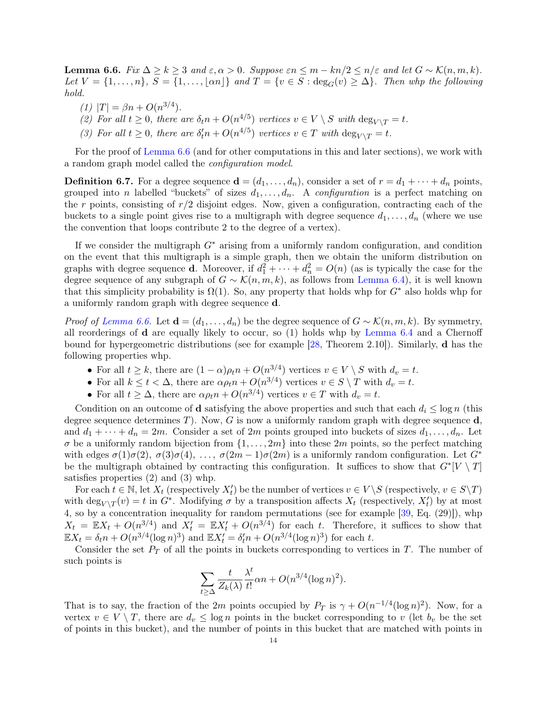<span id="page-13-0"></span>**Lemma 6.6.** Fix  $\Delta \ge k \ge 3$  and  $\varepsilon, \alpha > 0$ . Suppose  $\varepsilon n \le m - kn/2 \le n/\varepsilon$  and let  $G \sim \mathcal{K}(n, m, k)$ . Let  $V = \{1, \ldots, n\}$ ,  $S = \{1, \ldots, \lfloor \alpha n \rfloor\}$  and  $T = \{v \in S : \deg_G(v) \geq \Delta\}$ . Then whp the following hold.

- (1)  $|T| = \beta n + O(n^{3/4}).$
- (2) For all  $t \geq 0$ , there are  $\delta_t n + O(n^{4/5})$  vertices  $v \in V \setminus S$  with  $\deg_{V \setminus T} = t$ .
- (3) For all  $t \geq 0$ , there are  $\delta_t^n n + O(n^{4/5})$  vertices  $v \in T$  with  $\deg_{V \setminus T} = t$ .

For the proof of [Lemma 6.6](#page-12-5) (and for other computations in this and later sections), we work with a random graph model called the configuration model.

**Definition 6.7.** For a degree sequence  $\mathbf{d} = (d_1, \ldots, d_n)$ , consider a set of  $r = d_1 + \cdots + d_n$  points, grouped into n labelled "buckets" of sizes  $d_1, \ldots, d_n$ . A *configuration* is a perfect matching on the r points, consisting of  $r/2$  disjoint edges. Now, given a configuration, contracting each of the buckets to a single point gives rise to a multigraph with degree sequence  $d_1, \ldots, d_n$  (where we use the convention that loops contribute 2 to the degree of a vertex).

If we consider the multigraph  $G<sup>*</sup>$  arising from a uniformly random configuration, and condition on the event that this multigraph is a simple graph, then we obtain the uniform distribution on graphs with degree sequence **d**. Moreover, if  $d_1^2 + \cdots + d_n^2 = O(n)$  (as is typically the case for the degree sequence of any subgraph of  $G \sim \mathcal{K}(n, m, k)$ , as follows from [Lemma 6.4\)](#page-12-1), it is well known that this simplicity probability is  $\Omega(1)$ . So, any property that holds whp for  $G^*$  also holds whp for a uniformly random graph with degree sequence d.

*Proof of [Lemma 6.6.](#page-12-5)* Let  $\mathbf{d} = (d_1, \ldots, d_n)$  be the degree sequence of  $G \sim \mathcal{K}(n, m, k)$ . By symmetry, all reorderings of  $d$  are equally likely to occur, so  $(1)$  holds whp by [Lemma 6.4](#page-12-1) and a Chernoff bound for hypergeometric distributions (see for example [\[28,](#page-23-26) Theorem 2.10]). Similarly, d has the following properties whp.

- For all  $t \geq k$ , there are  $(1 \alpha)\rho_t n + O(n^{3/4})$  vertices  $v \in V \setminus S$  with  $d_v = t$ .
- For all  $k \le t < \Delta$ , there are  $\alpha \rho_t n + O(n^{3/4})$  vertices  $v \in S \setminus T$  with  $d_v = t$ .
- For all  $t \geq \Delta$ , there are  $\alpha \rho_t n + O(n^{3/4})$  vertices  $v \in T$  with  $d_v = t$ .

Condition on an outcome of **d** satisfying the above properties and such that each  $d_i \leq \log n$  (this degree sequence determines T). Now, G is now a uniformly random graph with degree sequence  $\bf d$ . and  $d_1 + \cdots + d_n = 2m$ . Consider a set of  $2m$  points grouped into buckets of sizes  $d_1, \ldots, d_n$ . Let  $\sigma$  be a uniformly random bijection from  $\{1, \ldots, 2m\}$  into these  $2m$  points, so the perfect matching with edges  $\sigma(1)\sigma(2), \sigma(3)\sigma(4), \ldots, \sigma(2m-1)\sigma(2m)$  is a uniformly random configuration. Let  $G^*$ be the multigraph obtained by contracting this configuration. It suffices to show that  $G^*[V \setminus T]$ satisfies properties (2) and (3) whp.

For each  $t \in \mathbb{N}$ , let  $X_t$  (respectively  $X'_t$ ) be the number of vertices  $v \in V \setminus S$  (respectively,  $v \in S \setminus T$ ) with  $\deg_{V\setminus T}(v) = t$  in  $G^*$ . Modifying  $\sigma$  by a transposition affects  $X_t$  (respectively,  $X'_t$ ) by at most 4, so by a concentration inequality for random permutations (see for example [\[39,](#page-24-14) Eq. (29)]), whp  $X_t = \mathbb{E}X_t + O(n^{3/4})$  and  $X'_t = \mathbb{E}X'_t + O(n^{3/4})$  for each t. Therefore, it suffices to show that  $\mathbb{E}X_t = \delta_t n + O(n^{3/4}(\log n)^3)$  and  $\mathbb{E}X'_t = \delta'_t n + O(n^{3/4}(\log n)^3)$  for each t.

Consider the set  $P_T$  of all the points in buckets corresponding to vertices in T. The number of such points is

$$
\sum_{t \ge \Delta} \frac{t}{Z_k(\lambda)} \frac{\lambda^t}{t!} \alpha n + O(n^{3/4} (\log n)^2).
$$

That is to say, the fraction of the 2m points occupied by  $P_T$  is  $\gamma + O(n^{-1/4}(\log n)^2)$ . Now, for a vertex  $v \in V \setminus T$ , there are  $d_v \leq \log n$  points in the bucket corresponding to v (let  $b_v$  be the set of points in this bucket), and the number of points in this bucket that are matched with points in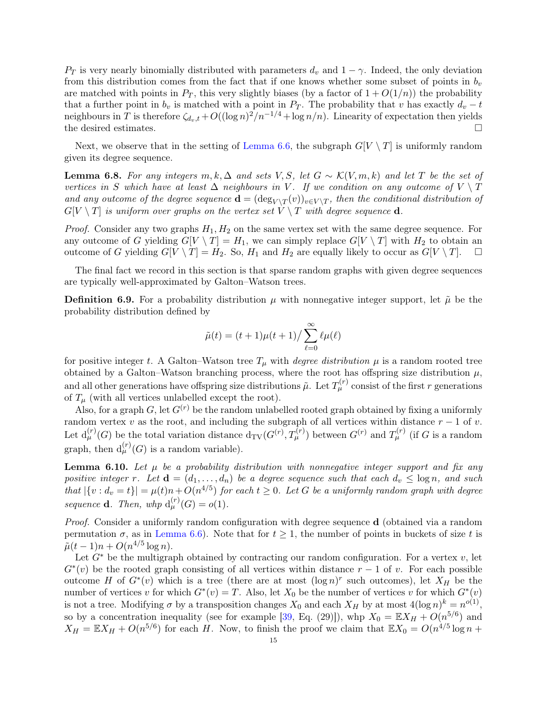<span id="page-14-3"></span> $P_T$  is very nearly binomially distributed with parameters  $d_v$  and  $1 - \gamma$ . Indeed, the only deviation from this distribution comes from the fact that if one knows whether some subset of points in  $b_v$ are matched with points in  $P_T$ , this very slightly biases (by a factor of  $1 + O(1/n)$ ) the probability that a further point in  $b_v$  is matched with a point in  $P_T$ . The probability that v has exactly  $d_v - t$ neighbours in T is therefore  $\zeta_{d_v,t} + O((\log n)^2/n^{-1/4} + \log n/n)$ . Linearity of expectation then yields the desired estimates.  $\Box$ 

Next, we observe that in the setting of [Lemma 6.6,](#page-12-5) the subgraph  $G[V \setminus T]$  is uniformly random given its degree sequence.

<span id="page-14-2"></span>**Lemma 6.8.** For any integers m, k,  $\Delta$  and sets V, S, let  $G \sim \mathcal{K}(V, m, k)$  and let T be the set of vertices in S which have at least  $\Delta$  neighbours in V. If we condition on any outcome of  $V \setminus T$ and any outcome of the degree sequence  $\mathbf{d} = (\deg_{V \setminus T}(v))_{v \in V \setminus T}$ , then the conditional distribution of  $G[V \setminus T]$  is uniform over graphs on the vertex set  $V \setminus T$  with degree sequence **d**.

*Proof.* Consider any two graphs  $H_1, H_2$  on the same vertex set with the same degree sequence. For any outcome of G yielding  $G[V \setminus T] = H_1$ , we can simply replace  $G[V \setminus T]$  with  $H_2$  to obtain an outcome of G yielding  $G[V \setminus T] = H_2$ . So,  $H_1$  and  $H_2$  are equally likely to occur as  $G[V \setminus T]$ .  $\Box$ 

The final fact we record in this section is that sparse random graphs with given degree sequences are typically well-approximated by Galton–Watson trees.

<span id="page-14-0"></span>**Definition 6.9.** For a probability distribution  $\mu$  with nonnegative integer support, let  $\tilde{\mu}$  be the probability distribution defined by

$$
\tilde{\mu}(t) = (t+1)\mu(t+1)/\sum_{\ell=0}^{\infty} \ell \mu(\ell)
$$

for positive integer t. A Galton–Watson tree  $T_{\mu}$  with *degree distribution*  $\mu$  is a random rooted tree obtained by a Galton–Watson branching process, where the root has offspring size distribution  $\mu$ , and all other generations have offspring size distributions  $\tilde{\mu}$ . Let  $T_{\mu}^{(r)}$  consist of the first  $r$  generations of  $T_{\mu}$  (with all vertices unlabelled except the root).

Also, for a graph G, let  $G^{(r)}$  be the random unlabelled rooted graph obtained by fixing a uniformly random vertex v as the root, and including the subgraph of all vertices within distance  $r - 1$  of v. Let  $d_{\mu}^{(r)}(G)$  be the total variation distance  $d_{\text{TV}}(G^{(r)}, T_{\mu}^{(r)})$  between  $G^{(r)}$  and  $T_{\mu}^{(r)}$  (if G is a random graph, then  $d_{\mu}^{(r)}(G)$  is a random variable).

<span id="page-14-1"></span>**Lemma 6.10.** Let  $\mu$  be a probability distribution with nonnegative integer support and fix any positive integer r. Let  $\mathbf{d} = (d_1, \ldots, d_n)$  be a degree sequence such that each  $d_v \leq \log n$ , and such that  $|\{v : d_v = t\}| = \mu(t)n + O(n^{4/5})$  for each  $t \ge 0$ . Let G be a uniformly random graph with degree sequence **d**. Then, whp  $d_{\mu}^{(r)}(G) = o(1)$ .

*Proof.* Consider a uniformly random configuration with degree sequence  $\bf{d}$  (obtained via a random permutation  $\sigma$ , as in [Lemma 6.6\)](#page-12-5). Note that for  $t \geq 1$ , the number of points in buckets of size t is  $\tilde{\mu}(t-1)n + O(n^{4/5} \log n).$ 

Let  $G^*$  be the multigraph obtained by contracting our random configuration. For a vertex v, let  $G<sup>*</sup>(v)$  be the rooted graph consisting of all vertices within distance  $r-1$  of v. For each possible outcome H of  $G^*(v)$  which is a tree (there are at most  $(\log n)^r$  such outcomes), let  $X_H$  be the number of vertices v for which  $G^*(v) = T$ . Also, let  $X_0$  be the number of vertices v for which  $G^*(v)$ is not a tree. Modifying  $\sigma$  by a transposition changes  $X_0$  and each  $X_H$  by at most  $4(\log n)^k = n^{o(1)}$ , so by a concentration inequality (see for example [\[39,](#page-24-14) Eq. (29)]), whp  $X_0 = \mathbb{E}X_H + O(n^{5/6})$  and  $X_H = \mathbb{E}X_H + O(n^{5/6})$  for each H. Now, to finish the proof we claim that  $\mathbb{E}X_0 = O(n^{4/5}\log n +$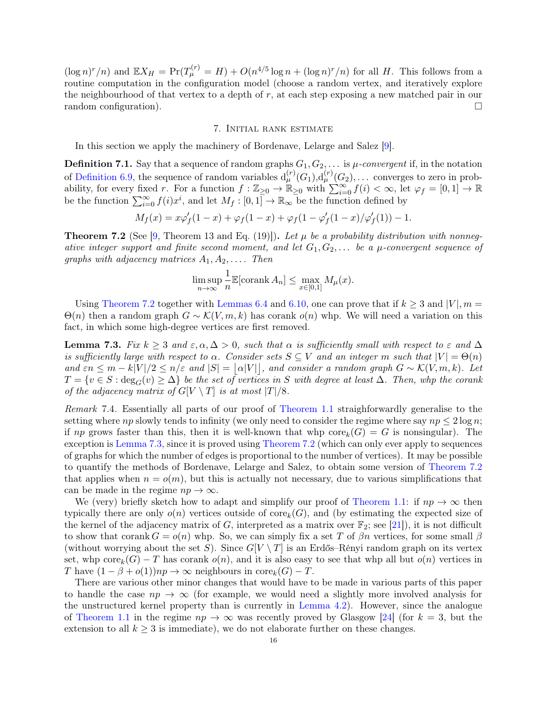<span id="page-15-3"></span> $(\log n)^r/n)$  and  $\mathbb{E} X_H = \Pr(T^{(r)}_\mu = H) + O(n^{4/5} \log n + (\log n)^r/n)$  for all H. This follows from a routine computation in the configuration model (choose a random vertex, and iteratively explore the neighbourhood of that vertex to a depth of r, at each step exposing a new matched pair in our random configuration).

#### 7. Initial rank estimate

In this section we apply the machinery of Bordenave, Lelarge and Salez [\[9\]](#page-23-17).

**Definition 7.1.** Say that a sequence of random graphs  $G_1, G_2, \ldots$  is  $\mu$ -convergent if, in the notation of [Definition 6.9,](#page-14-0) the sequence of random variables  $d_{\mu}^{(r)}(G_1), d_{\mu}^{(r)}(G_2), \ldots$  converges to zero in probability, for every fixed r. For a function  $f : \mathbb{Z}_{\geq 0} \to \mathbb{R}_{\geq 0}$  with  $\sum_{i=0}^{\infty} f(i) < \infty$ , let  $\varphi_f = [0,1] \to \mathbb{R}$ be the function  $\sum_{i=0}^{\infty} f(i)x^i$ , and let  $M_f: [0,1] \to \mathbb{R}_{\infty}$  be the function defined by

$$
M_f(x) = x\varphi'_f(1-x) + \varphi_f(1-x) + \varphi_f(1-\varphi'_f(1-x)/\varphi'_f(1)) - 1.
$$

<span id="page-15-2"></span>**Theorem 7.2** (See [\[9,](#page-23-17) Theorem 13 and Eq. (19)]). Let  $\mu$  be a probability distribution with nonnegative integer support and finite second moment, and let  $G_1, G_2, \ldots$  be a  $\mu$ -convergent sequence of graphs with adjacency matrices  $A_1, A_2, \ldots$  Then

$$
\limsup_{n \to \infty} \frac{1}{n} \mathbb{E}[\operatorname{corank} A_n] \le \max_{x \in [0,1]} M_{\mu}(x).
$$

Using [Theorem 7.2](#page-15-2) together with [Lemmas 6.4](#page-12-1) and [6.10,](#page-14-1) one can prove that if  $k \geq 3$  and  $|V|, m =$  $\Theta(n)$  then a random graph  $G \sim \mathcal{K}(V, m, k)$  has corank  $o(n)$  whp. We will need a variation on this fact, in which some high-degree vertices are first removed.

<span id="page-15-1"></span>**Lemma 7.3.** Fix  $k \geq 3$  and  $\varepsilon, \alpha, \Delta > 0$ , such that  $\alpha$  is sufficiently small with respect to  $\varepsilon$  and  $\Delta$ is sufficiently large with respect to  $\alpha$ . Consider sets  $S \subseteq V$  and an integer m such that  $|V| = \Theta(n)$ and  $\varepsilon n \leq m - k|V|/2 \leq n/\varepsilon$  and  $|S| = |\alpha|V|$ , and consider a random graph  $G \sim \mathcal{K}(V, m, k)$ . Let  $T = \{v \in S : \deg_G(v) \geq \Delta\}$  be the set of vertices in S with degree at least  $\Delta$ . Then, whp the corank of the adjacency matrix of  $G[V \setminus T]$  is at most  $|T|/8$ .

<span id="page-15-0"></span>Remark 7.4. Essentially all parts of our proof of [Theorem 1.1](#page-1-1) straighforwardly generalise to the setting where np slowly tends to infinity (we only need to consider the regime where say  $np \leq 2 \log n$ ; if np grows faster than this, then it is well-known that whp  $\text{core}_k(G) = G$  is nonsingular). The exception is [Lemma 7.3,](#page-15-1) since it is proved using [Theorem 7.2](#page-15-2) (which can only ever apply to sequences of graphs for which the number of edges is proportional to the number of vertices). It may be possible to quantify the methods of Bordenave, Lelarge and Salez, to obtain some version of [Theorem 7.2](#page-15-2) that applies when  $n = o(m)$ , but this is actually not necessary, due to various simplifications that can be made in the regime  $np \to \infty$ .

We (very) briefly sketch how to adapt and simplify our proof of [Theorem 1.1:](#page-1-1) if  $np \to \infty$  then typically there are only  $o(n)$  vertices outside of core<sub>k</sub>(G), and (by estimating the expected size of the kernel of the adjacency matrix of G, interpreted as a matrix over  $\mathbb{F}_2$ ; see [\[21\]](#page-23-28)), it is not difficult to show that corank  $G = o(n)$  whp. So, we can simply fix a set T of  $\beta n$  vertices, for some small  $\beta$ (without worrying about the set S). Since  $G[V \setminus T]$  is an Erdős–Rényi random graph on its vertex set, whp core $_k(G) - T$  has corank  $o(n)$ , and it is also easy to see that whp all but  $o(n)$  vertices in T have  $(1 - \beta + o(1))np \to \infty$  neighbours in core<sub>k</sub> $(G) - T$ .

There are various other minor changes that would have to be made in various parts of this paper to handle the case  $np \to \infty$  (for example, we would need a slightly more involved analysis for the unstructured kernel property than is currently in [Lemma 4.2\)](#page-7-1). However, since the analogue of [Theorem 1.1](#page-1-1) in the regime  $np \to \infty$  was recently proved by Glasgow [\[24\]](#page-23-6) (for  $k = 3$ , but the extension to all  $k \geq 3$  is immediate), we do not elaborate further on these changes.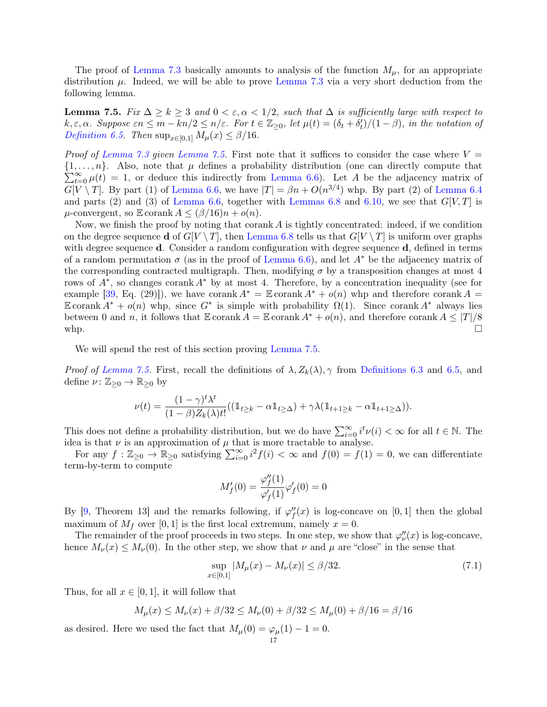<span id="page-16-2"></span>The proof of [Lemma 7.3](#page-15-1) basically amounts to analysis of the function  $M_{\mu}$ , for an appropriate distribution  $\mu$ . Indeed, we will be able to prove [Lemma 7.3](#page-15-1) via a very short deduction from the following lemma.

<span id="page-16-0"></span>**Lemma 7.5.** Fix  $\Delta \geq k \geq 3$  and  $0 < \varepsilon, \alpha < 1/2$ , such that  $\Delta$  is sufficiently large with respect to  $k, \varepsilon, \alpha$ . Suppose  $\varepsilon n \leq m - kn/2 \leq n/\varepsilon$ . For  $t \in \mathbb{Z}_{\geq 0}$ , let  $\mu(t) = (\delta_t + \delta'_t)/(1 - \beta)$ , in the notation of [Definition 6.5.](#page-12-6) Then  $\sup_{x \in [0,1]} M_\mu(x) \leq \beta/16$ .

*Proof of [Lemma 7.3](#page-15-1) given [Lemma 7.5.](#page-16-0)* First note that it suffices to consider the case where  $V =$  $\{1,\ldots,n\}$ . Also, note that  $\mu$  defines a probability distribution (one can directly compute that  $\sum_{t=0}^{\infty} \mu(t) = 1$ , or deduce this indirectly from [Lemma 6.6\)](#page-12-5). Let A be the adjacency matrix of  $G[V \setminus T]$ . By part (1) of [Lemma 6.6,](#page-12-5) we have  $|T| = \beta n + O(n^{3/4})$  whp. By part (2) of [Lemma 6.4](#page-12-1) and parts (2) and (3) of [Lemma 6.6,](#page-12-5) together with [Lemmas 6.8](#page-14-2) and [6.10,](#page-14-1) we see that  $G[V, T]$  is  $\mu$ -convergent, so  $\mathbb E$  corank  $A \leq (\beta/16)n + o(n)$ .

Now, we finish the proof by noting that corank  $A$  is tightly concentrated: indeed, if we condition on the degree sequence **d** of  $G[V \setminus T]$ , then [Lemma 6.8](#page-14-2) tells us that  $G[V \setminus T]$  is uniform over graphs with degree sequence **d**. Consider a random configuration with degree sequence **d**, defined in terms of a random permutation  $\sigma$  (as in the proof of [Lemma 6.6\)](#page-12-5), and let  $A^*$  be the adjacency matrix of the corresponding contracted multigraph. Then, modifying  $\sigma$  by a transposition changes at most 4 rows of A<sup>∗</sup> , so changes corank A<sup>∗</sup> by at most 4. Therefore, by a concentration inequality (see for example [\[39,](#page-24-14) Eq. (29)]), we have corank  $A^* = \mathbb{E}$  corank  $A^* + o(n)$  whp and therefore corank  $A =$ E corank  $A^* + o(n)$  whp, since  $G^*$  is simple with probability  $\Omega(1)$ . Since corank  $A^*$  always lies between 0 and n, it follows that  $\mathbb E$  corank  $A = \mathbb E$  corank  $A^* + o(n)$ , and therefore corank  $A \leq |T|/8$ whp.  $\square$ 

We will spend the rest of this section proving [Lemma 7.5.](#page-16-0)

*Proof of [Lemma 7.5.](#page-16-0)* First, recall the definitions of  $\lambda$ ,  $Z_k(\lambda)$ ,  $\gamma$  from [Definitions 6.3](#page-12-4) and [6.5,](#page-12-6) and define  $\nu: \mathbb{Z}_{\geq 0} \to \mathbb{R}_{\geq 0}$  by

$$
\nu(t) = \frac{(1-\gamma)^t \lambda^t}{(1-\beta)Z_k(\lambda)t!}((\mathbb{1}_{t\geq k} - \alpha \mathbb{1}_{t\geq \Delta}) + \gamma \lambda (\mathbb{1}_{t+1\geq k} - \alpha \mathbb{1}_{t+1\geq \Delta})).
$$

This does not define a probability distribution, but we do have  $\sum_{i=0}^{\infty} i^t \nu(i) < \infty$  for all  $t \in \mathbb{N}$ . The idea is that  $\nu$  is an approximation of  $\mu$  that is more tractable to analyse.

For any  $f: \mathbb{Z}_{\geq 0} \to \mathbb{R}_{\geq 0}$  satisfying  $\sum_{i=0}^{\infty} i^2 f(i) < \infty$  and  $f(0) = f(1) = 0$ , we can differentiate term-by-term to compute

$$
M_f'(0) = \frac{\varphi_f''(1)}{\varphi_f'(1)} \varphi_f'(0) = 0
$$

By [\[9,](#page-23-17) Theorem 13] and the remarks following, if  $\varphi''_f(x)$  is log-concave on [0, 1] then the global maximum of  $M_f$  over [0, 1] is the first local extremum, namely  $x = 0$ .

The remainder of the proof proceeds in two steps. In one step, we show that  $\varphi''_{\nu}(x)$  is log-concave, hence  $M_{\nu}(x) \leq M_{\nu}(0)$ . In the other step, we show that  $\nu$  and  $\mu$  are "close" in the sense that

<span id="page-16-1"></span>
$$
\sup_{x \in [0,1]} |M_{\mu}(x) - M_{\nu}(x)| \le \beta/32. \tag{7.1}
$$

Thus, for all  $x \in [0, 1]$ , it will follow that

$$
M_{\mu}(x) \le M_{\nu}(x) + \beta/32 \le M_{\nu}(0) + \beta/32 \le M_{\mu}(0) + \beta/16 = \beta/16
$$

as desired. Here we used the fact that  $M_{\mu}(0) = \varphi_{\mu}(1) - 1 = 0$ .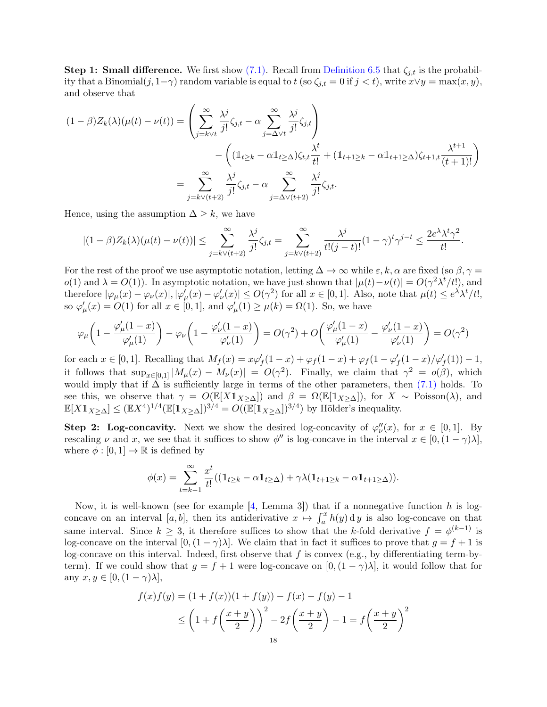<span id="page-17-0"></span>Step 1: Small difference. We first show [\(7.1\).](#page-16-1) Recall from [Definition 6.5](#page-12-6) that  $\zeta_{j,t}$  is the probability that a Binomial $(j, 1-\gamma)$  random variable is equal to  $t$  (so  $\zeta_{j,t} = 0$  if  $j < t$ ), write  $x \vee y = \max(x, y)$ , and observe that

$$
(1 - \beta)Z_k(\lambda)(\mu(t) - \nu(t)) = \left(\sum_{j=k\vee t}^{\infty} \frac{\lambda^j}{j!} \zeta_{j,t} - \alpha \sum_{j=\Delta\vee t}^{\infty} \frac{\lambda^j}{j!} \zeta_{j,t}\right) - \left((\mathbb{1}_{t\geq k} - \alpha \mathbb{1}_{t\geq \Delta})\zeta_{t,t} \frac{\lambda^t}{t!} + (\mathbb{1}_{t+1\geq k} - \alpha \mathbb{1}_{t+1\geq \Delta})\zeta_{t+1,t} \frac{\lambda^{t+1}}{(t+1)!}\right) = \sum_{j=k\vee (t+2)}^{\infty} \frac{\lambda^j}{j!} \zeta_{j,t} - \alpha \sum_{j=\Delta\vee (t+2)}^{\infty} \frac{\lambda^j}{j!} \zeta_{j,t}.
$$

Hence, using the assumption  $\Delta \geq k$ , we have

$$
|(1-\beta)Z_k(\lambda)(\mu(t)-\nu(t))|\leq \sum_{j=k\vee(t+2)}^{\infty}\frac{\lambda^j}{j!}\zeta_{j,t}=\sum_{j=k\vee(t+2)}^{\infty}\frac{\lambda^j}{t!(j-t)!}(1-\gamma)^t\gamma^{j-t}\leq \frac{2e^{\lambda}\lambda^t\gamma^2}{t!}.
$$

For the rest of the proof we use asymptotic notation, letting  $\Delta \to \infty$  while  $\varepsilon, k, \alpha$  are fixed (so  $\beta, \gamma =$ o(1) and  $\lambda = O(1)$ . In asymptotic notation, we have just shown that  $|\mu(t) - \nu(t)| = O(\gamma^2 \lambda^t / t!)$ , and therefore  $|\varphi_{\mu}(x) - \varphi_{\nu}(x)|, |\varphi'_{\mu}(x) - \varphi'_{\nu}(x)| \le O(\gamma^2)$  for all  $x \in [0, 1]$ . Also, note that  $\mu(t) \le e^{\lambda} \lambda^t / t!$ , so  $\varphi'_\mu(x) = O(1)$  for all  $x \in [0, 1]$ , and  $\varphi'_\mu(1) \ge \mu(k) = \Omega(1)$ . So, we have

$$
\varphi_{\mu}\left(1-\frac{\varphi'_{\mu}(1-x)}{\varphi'_{\mu}(1)}\right)-\varphi_{\nu}\left(1-\frac{\varphi'_{\nu}(1-x)}{\varphi'_{\nu}(1)}\right)=O(\gamma^2)+O\left(\frac{\varphi'_{\mu}(1-x)}{\varphi'_{\mu}(1)}-\frac{\varphi'_{\nu}(1-x)}{\varphi'_{\nu}(1)}\right)=O(\gamma^2)
$$

for each  $x \in [0,1]$ . Recalling that  $M_f(x) = x\varphi'_f(1-x) + \varphi_f(1-x) + \varphi_f(1-\varphi'_f(1-x)/\varphi'_f(1)) - 1$ , it follows that  $\sup_{x\in[0,1]}|M_\mu(x)-M_\nu(x)|=O(\gamma^2)$ . Finally, we claim that  $\gamma^2=o(\beta)$ , which would imply that if  $\Delta$  is sufficiently large in terms of the other parameters, then [\(7.1\)](#page-16-1) holds. To see this, we observe that  $\gamma = O(\mathbb{E}[X \mathbb{1}_{X \geq \Delta}])$  and  $\beta = \Omega(\mathbb{E}[\mathbb{1}_{X \geq \Delta}])$ , for  $X \sim \text{Poisson}(\lambda)$ , and  $\mathbb{E}[X \mathbb{1}_{X \geq \Delta}] \leq (\mathbb{E}X^4)^{1/4}(\mathbb{E}[\mathbb{1}_{X \geq \Delta}])^{3/4} = O((\mathbb{E}[\mathbb{1}_{X \geq \Delta}])^{3/4})$  by Hölder's inequality.

**Step 2: Log-concavity.** Next we show the desired log-concavity of  $\varphi_{\nu}''(x)$ , for  $x \in [0,1]$ . By rescaling  $\nu$  and x, we see that it suffices to show  $\phi''$  is log-concave in the interval  $x \in [0, (1 - \gamma)\lambda],$ where  $\phi : [0, 1] \to \mathbb{R}$  is defined by

$$
\phi(x) = \sum_{t=k-1}^{\infty} \frac{x^t}{t!} \left( \left( \mathbb{1}_{t \geq k} - \alpha \mathbb{1}_{t \geq \Delta} \right) + \gamma \lambda (\mathbb{1}_{t+1 \geq k} - \alpha \mathbb{1}_{t+1 \geq \Delta}) \right).
$$

Now, it is well-known (see for example  $[4,$  Lemma 3]) that if a nonnegative function h is logconcave on an interval [a, b], then its antiderivative  $x \mapsto \int_a^x h(y) dy$  is also log-concave on that same interval. Since  $k \geq 3$ , it therefore suffices to show that the k-fold derivative  $f = \phi^{(k-1)}$  is log-concave on the interval  $[0,(1-\gamma)\lambda]$ . We claim that in fact it suffices to prove that  $g = f + 1$  is log-concave on this interval. Indeed, first observe that  $f$  is convex (e.g., by differentiating term-byterm). If we could show that  $g = f + 1$  were log-concave on  $[0, (1 - \gamma)\lambda]$ , it would follow that for any  $x, y \in [0, (1 - \gamma)\lambda],$ 

$$
f(x)f(y) = (1 + f(x))(1 + f(y)) - f(x) - f(y) - 1
$$
  
\n
$$
\leq \left(1 + f\left(\frac{x+y}{2}\right)\right)^2 - 2f\left(\frac{x+y}{2}\right) - 1 = f\left(\frac{x+y}{2}\right)^2
$$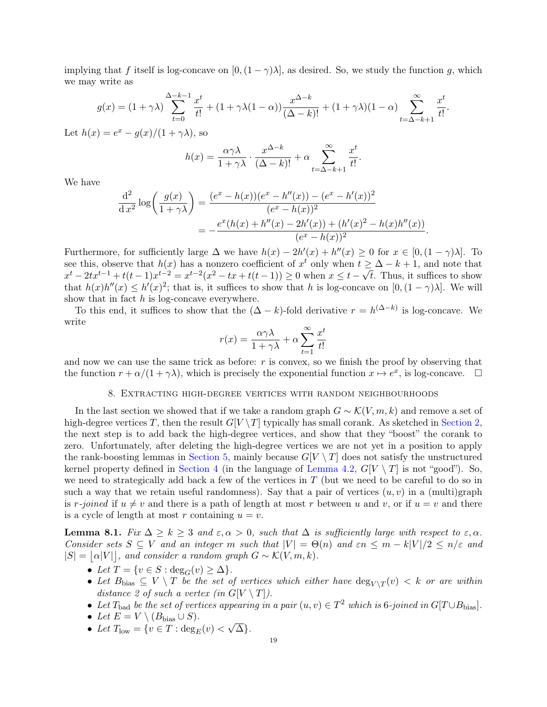implying that f itself is log-concave on  $[0,(1-\gamma)\lambda]$ , as desired. So, we study the function g, which we may write as

$$
g(x) = (1+\gamma\lambda)\sum_{t=0}^{\Delta-k-1}\frac{x^t}{t!} + (1+\gamma\lambda(1-\alpha))\frac{x^{\Delta-k}}{(\Delta-k)!} + (1+\gamma\lambda)(1-\alpha)\sum_{t=\Delta-k+1}^{\infty}\frac{x^t}{t!}.
$$

Let  $h(x) = e^x - g(x)/(1 + \gamma \lambda)$ , so

$$
h(x) = \frac{\alpha \gamma \lambda}{1 + \gamma \lambda} \cdot \frac{x^{\Delta - k}}{(\Delta - k)!} + \alpha \sum_{t = \Delta - k + 1}^{\infty} \frac{x^t}{t!}.
$$

We have

$$
\frac{d^2}{dx^2} \log \left( \frac{g(x)}{1+\gamma \lambda} \right) = \frac{(e^x - h(x))(e^x - h''(x)) - (e^x - h'(x))^2}{(e^x - h(x))^2}
$$

$$
= -\frac{e^x (h(x) + h''(x) - 2h'(x)) + (h'(x)^2 - h(x)h''(x))}{(e^x - h(x))^2}.
$$

Furthermore, for sufficiently large  $\Delta$  we have  $h(x) - 2h'(x) + h''(x) \ge 0$  for  $x \in [0, (1 - \gamma)\lambda]$ . To see this, observe that  $h(x)$  has a nonzero coefficient of  $x^t$  only when  $t \geq \Delta - k + 1$ , and note that see this, observe that  $h(x)$  has a honzero coefficient of x only when  $t \ge$ <br> $x^t - 2tx^{t-1} + t(t-1)x^{t-2} = x^{t-2}(x^2 - tx + t(t-1)) \ge 0$  when  $x \le t - \sqrt{2}$ t. Thus, it suffices to show that  $h(x)h''(x) \leq h'(x)^2$ ; that is, it suffices to show that h is log-concave on  $[0,(1-\gamma)\lambda]$ . We will show that in fact  $h$  is log-concave everywhere.

To this end, it suffices to show that the  $(\Delta - k)$ -fold derivative  $r = h^{(\Delta - k)}$  is log-concave. We write

$$
r(x) = \frac{\alpha \gamma \lambda}{1 + \gamma \lambda} + \alpha \sum_{t=1}^{\infty} \frac{x^t}{t!}
$$

and now we can use the same trick as before:  $r$  is convex, so we finish the proof by observing that the function  $r + \alpha/(1 + \gamma \lambda)$ , which is precisely the exponential function  $x \mapsto e^x$ , is log-concave.  $\Box$ 

#### 8. Extracting high-degree vertices with random neighbourhoods

In the last section we showed that if we take a random graph  $G \sim \mathcal{K}(V, m, k)$  and remove a set of high-degree vertices T, then the result  $G[V \setminus T]$  typically has small corank. As sketched in [Section 2,](#page-3-0) the next step is to add back the high-degree vertices, and show that they "boost" the corank to zero. Unfortunately, after deleting the high-degree vertices we are not yet in a position to apply the rank-boosting lemmas in [Section 5,](#page-10-2) mainly because  $G[V \setminus T]$  does not satisfy the unstructured kernel property defined in [Section 4](#page-7-4) (in the language of [Lemma 4.2,](#page-7-1)  $G[V \setminus T]$  is not "good"). So, we need to strategically add back a few of the vertices in  $T$  (but we need to be careful to do so in such a way that we retain useful randomness). Say that a pair of vertices  $(u, v)$  in a (multi)graph is r-joined if  $u \neq v$  and there is a path of length at most r between u and v, or if  $u = v$  and there is a cycle of length at most r containing  $u = v$ .

<span id="page-18-0"></span>**Lemma 8.1.** Fix  $\Delta \geq k \geq 3$  and  $\varepsilon, \alpha > 0$ , such that  $\Delta$  is sufficiently large with respect to  $\varepsilon, \alpha$ . Consider sets  $S \subseteq V$  and an integer m such that  $|V| = \Theta(n)$  and  $\varepsilon n \leq m - k|V|/2 \leq n/\varepsilon$  and  $|S| = |\alpha|V||$ , and consider a random graph  $G \sim \mathcal{K}(V, m, k)$ .

- Let  $T = \{v \in S : \deg_G(v) \geq \Delta\}.$
- Let  $B_{\text{bias}} \subseteq V \setminus T$  be the set of vertices which either have  $\deg_{V \setminus T}(v) < k$  or are within distance 2 of such a vertex (in  $G[V \setminus T]$ ).
- Let T<sub>bad</sub> be the set of vertices appearing in a pair  $(u, v) \in T^2$  which is 6-joined in  $G[T \cup B_{bias}]$ .
- Let  $E = V \setminus (B_{bias} \cup S)$ .
- Let  $T_{\text{low}} = \{v \in T : \text{deg}_E(v)$ √ ∆}.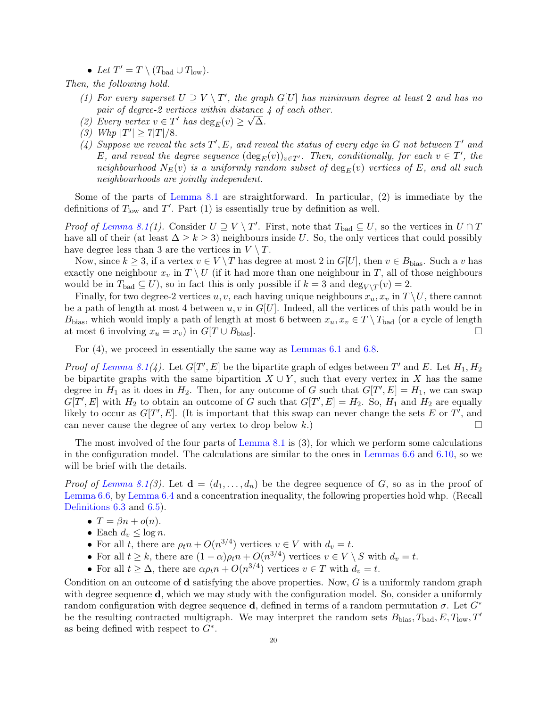• Let  $T' = T \setminus (T_{bad} \cup T_{low}).$ 

Then, the following hold.

- (1) For every superset  $U \supseteq V \setminus T'$ , the graph  $G[U]$  has minimum degree at least 2 and has no pair of degree-2 vertices within distance 4 of each other.
- (2) Every vertex  $v \in T'$  has  $\deg_E(v) \geq \sqrt{\Delta}$ .
- (3) Whp  $|T'| \ge 7|T|/8$ .
- (4) Suppose we reveal the sets  $T', E$ , and reveal the status of every edge in G not between  $T'$  and E, and reveal the degree sequence  $(\deg_E(v))_{v \in T'}$ . Then, conditionally, for each  $v \in T'$ , the neighbourhood  $N_E(v)$  is a uniformly random subset of  $\deg_E(v)$  vertices of E, and all such neighbourhoods are jointly independent.

Some of the parts of [Lemma 8.1](#page-18-0) are straightforward. In particular, (2) is immediate by the definitions of  $T_{\text{low}}$  and  $T'$ . Part (1) is essentially true by definition as well.

*Proof of [Lemma 8.1\(](#page-18-0)1).* Consider  $U \supseteq V \setminus T'$ . First, note that  $T_{bad} \subseteq U$ , so the vertices in  $U \cap T$ have all of their (at least  $\Delta \geq k \geq 3$ ) neighbours inside U. So, the only vertices that could possibly have degree less than 3 are the vertices in  $V \setminus T$ .

Now, since  $k \geq 3$ , if a vertex  $v \in V \setminus T$  has degree at most 2 in  $G[U]$ , then  $v \in B_{\text{bias}}$ . Such a v has exactly one neighbour  $x_v$  in  $T \setminus U$  (if it had more than one neighbour in T, all of those neighbours would be in  $T_{bad} \subseteq U$ , so in fact this is only possible if  $k = 3$  and  $\deg_{V \setminus T}(v) = 2$ .

Finally, for two degree-2 vertices u, v, each having unique neighbours  $x_u, x_v$  in  $T \setminus U$ , there cannot be a path of length at most 4 between  $u, v$  in  $G[U]$ . Indeed, all the vertices of this path would be in B<sub>bias</sub>, which would imply a path of length at most 6 between  $x_u, x_v \in T \setminus T_{bad}$  (or a cycle of length at most 6 involving  $x_u = x_v$ ) in  $G[T \cup B_{bias}]$ .

For (4), we proceed in essentially the same way as [Lemmas 6.1](#page-12-2) and [6.8.](#page-14-2)

*Proof of [Lemma 8.1\(](#page-18-0)4).* Let  $G[T', E]$  be the bipartite graph of edges between T' and E. Let  $H_1, H_2$ be bipartite graphs with the same bipartition  $X \cup Y$ , such that every vertex in X has the same degree in  $H_1$  as it does in  $H_2$ . Then, for any outcome of G such that  $G[T', E] = H_1$ , we can swap  $G[T', E]$  with  $H_2$  to obtain an outcome of G such that  $G[T', E] = H_2$ . So,  $H_1$  and  $H_2$  are equally likely to occur as  $G[T', E]$ . (It is important that this swap can never change the sets E or T', and can never cause the degree of any vertex to drop below k.)

The most involved of the four parts of [Lemma 8.1](#page-18-0) is  $(3)$ , for which we perform some calculations in the configuration model. The calculations are similar to the ones in [Lemmas 6.6](#page-12-5) and [6.10,](#page-14-1) so we will be brief with the details.

*Proof of [Lemma 8.1\(](#page-18-0)3).* Let  $\mathbf{d} = (d_1, \ldots, d_n)$  be the degree sequence of G, so as in the proof of [Lemma 6.6,](#page-12-5) by [Lemma 6.4](#page-12-1) and a concentration inequality, the following properties hold whp. (Recall [Definitions 6.3](#page-12-4) and [6.5\)](#page-12-6).

- $T = \beta n + o(n)$ .
- Each  $d_v \leq \log n$ .
- For all t, there are  $\rho_t n + O(n^{3/4})$  vertices  $v \in V$  with  $d_v = t$ .
- For all  $t \geq k$ , there are  $(1 \alpha)\rho_t n + O(n^{3/4})$  vertices  $v \in V \setminus S$  with  $d_v = t$ .
- For all  $t \geq \Delta$ , there are  $\alpha \rho_t n + O(n^{3/4})$  vertices  $v \in T$  with  $d_v = t$ .

Condition on an outcome of **d** satisfying the above properties. Now,  $G$  is a uniformly random graph with degree sequence **d**, which we may study with the configuration model. So, consider a uniformly random configuration with degree sequence **d**, defined in terms of a random permutation  $\sigma$ . Let  $G^*$ be the resulting contracted multigraph. We may interpret the random sets  $B_{bias}$ ,  $T_{bad}$ ,  $E$ ,  $T_{low}$ ,  $T'$ as being defined with respect to  $G^*$ .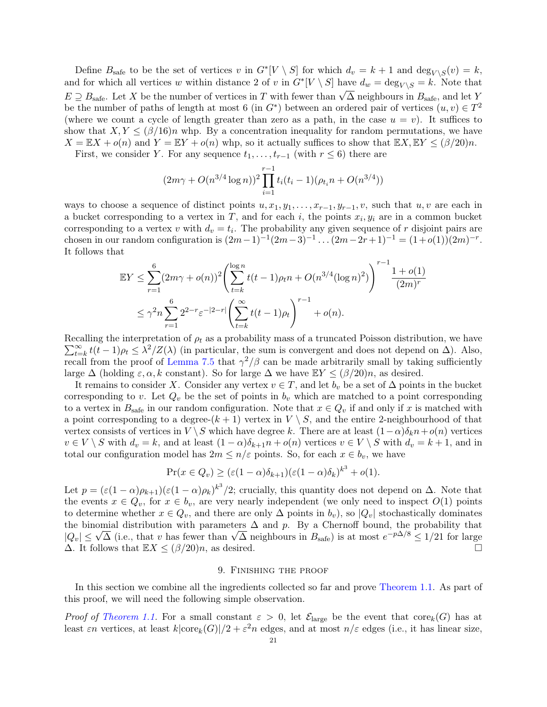Define  $B_{\text{safe}}$  to be the set of vertices v in  $G^*[V \setminus S]$  for which  $d_v = k + 1$  and  $\deg_{V \setminus S}(v) = k$ , and for which all vertices w within distance 2 of v in  $G^*[V \setminus S]$  have  $d_w = \text{deg}_{V \setminus S} = k$ . Note that  $E \supseteq B_{\text{safe}}$ . Let X be the number of vertices in T with fewer than  $\sqrt{\Delta}$  neighbours in  $B_{\text{safe}}$ , and let Y be the number of paths of length at most 6 (in  $G^*$ ) between an ordered pair of vertices  $(u, v) \in T^2$ (where we count a cycle of length greater than zero as a path, in the case  $u = v$ ). It suffices to show that  $X, Y \leq (\beta/16)n$  whp. By a concentration inequality for random permutations, we have  $X = \mathbb{E}X + o(n)$  and  $Y = \mathbb{E}Y + o(n)$  whp, so it actually suffices to show that  $\mathbb{E}X, \mathbb{E}Y \leq (\beta/20)n$ .

First, we consider Y. For any sequence  $t_1, \ldots, t_{r-1}$  (with  $r \leq 6$ ) there are

$$
(2m\gamma + O(n^{3/4}\log n))^2 \prod_{i=1}^{r-1} t_i(t_i - 1)(\rho_{t_i} n + O(n^{3/4}))
$$

ways to choose a sequence of distinct points  $u, x_1, y_1, \ldots, x_{r-1}, y_{r-1}, v$ , such that  $u, v$  are each in a bucket corresponding to a vertex in T, and for each i, the points  $x_i, y_i$  are in a common bucket corresponding to a vertex v with  $d_v = t_i$ . The probability any given sequence of r disjoint pairs are chosen in our random configuration is  $(2m-1)^{-1}(2m-3)^{-1} \dots (2m-2r+1)^{-1} = (1+o(1))(2m)^{-r}$ . It follows that

$$
\mathbb{E}Y \leq \sum_{r=1}^{6} (2m\gamma + o(n))^2 \left( \sum_{t=k}^{\log n} t(t-1)\rho_t n + O(n^{3/4}(\log n)^2) \right)^{r-1} \frac{1 + o(1)}{(2m)^r}
$$
  

$$
\leq \gamma^2 n \sum_{r=1}^{6} 2^{2-r} \varepsilon^{-|2-r|} \left( \sum_{t=k}^{\infty} t(t-1)\rho_t \right)^{r-1} + o(n).
$$

Recalling the interpretation of  $\rho_t$  as a probability mass of a truncated Poisson distribution, we have  $\sum_{t=1}^{\infty}$  $\sum_{t=k}^{\infty} t(t-1)\rho_t \leq \lambda^2/Z(\lambda)$  (in particular, the sum is convergent and does not depend on  $\Delta$ ). Also, recall from the proof of [Lemma 7.5](#page-16-0) that  $\gamma^2/\beta$  can be made arbitrarily small by taking sufficiently large  $\Delta$  (holding  $\varepsilon, \alpha, k$  constant). So for large  $\Delta$  we have  $\mathbb{E}Y \leq (\beta/20)n$ , as desired.

It remains to consider X. Consider any vertex  $v \in T$ , and let  $b_v$  be a set of  $\Delta$  points in the bucket corresponding to v. Let  $Q_v$  be the set of points in  $b_v$  which are matched to a point corresponding to a vertex in  $B_{\text{safe}}$  in our random configuration. Note that  $x \in Q_v$  if and only if x is matched with a point corresponding to a degree- $(k + 1)$  vertex in  $V \setminus S$ , and the entire 2-neighbourhood of that vertex consists of vertices in  $V \setminus S$  which have degree k. There are at least  $(1-\alpha)\delta_k n + o(n)$  vertices  $v \in V \setminus S$  with  $d_v = k$ , and at least  $(1 - \alpha)\delta_{k+1}n + o(n)$  vertices  $v \in V \setminus S$  with  $d_v = k + 1$ , and in total our configuration model has  $2m \leq n/\varepsilon$  points. So, for each  $x \in b_v$ , we have

$$
\Pr(x \in Q_v) \ge (\varepsilon(1-\alpha)\delta_{k+1})(\varepsilon(1-\alpha)\delta_k)^{k^3} + o(1).
$$

Let  $p = (\varepsilon(1-\alpha)\rho_{k+1})(\varepsilon(1-\alpha)\rho_k)^{k^3}/2$ ; crucially, this quantity does not depend on  $\Delta$ . Note that the events  $x \in Q_v$ , for  $x \in b_v$ , are very nearly independent (we only need to inspect  $O(1)$  points to determine whether  $x \in Q_v$ , and there are only  $\Delta$  points in  $b_v$ ), so  $|Q_v|$  stochastically dominates the binomial distribution with parameters  $\Delta$  and p. By a Chernoff bound, the probability that the binomial distribution with parameters  $\Delta$  and p. By a Chernoff bound, the probability that  $|Q_v| \leq \sqrt{\Delta}$  (i.e., that v has fewer than  $\sqrt{\Delta}$  neighbours in  $B_{\text{safe}}$ ) is at most  $e^{-p\Delta/8} \leq 1/21$  for large  $\Delta$ . It follows that  $\mathbb{E}X \leq (\beta/20)n$ , as desired.

### 9. Finishing the proof

In this section we combine all the ingredients collected so far and prove [Theorem 1.1.](#page-1-1) As part of this proof, we will need the following simple observation.

Proof of [Theorem 1.1.](#page-1-1) For a small constant  $\varepsilon > 0$ , let  $\mathcal{E}_{\text{large}}$  be the event that  $\text{core}_k(G)$  has at least  $\varepsilon n$  vertices, at least  $k|\text{core}_k(G)|/2 + \varepsilon^2 n$  edges, and at most  $n/\varepsilon$  edges (i.e., it has linear size,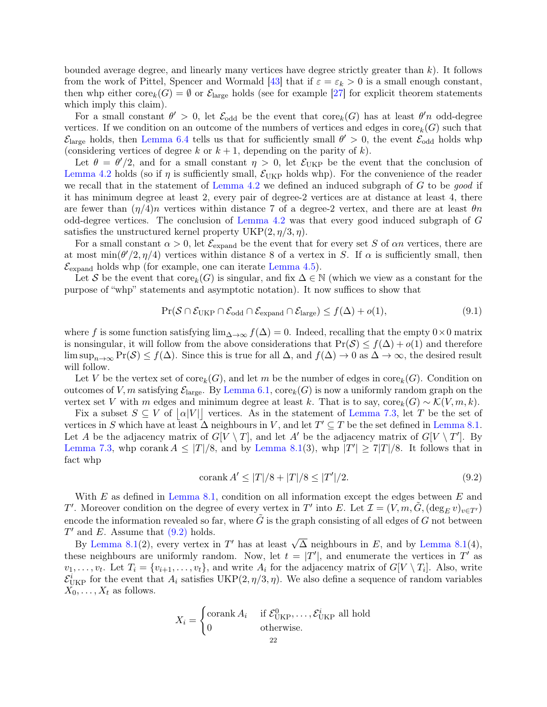<span id="page-21-2"></span>bounded average degree, and linearly many vertices have degree strictly greater than  $k$ ). It follows from the work of Pittel, Spencer and Wormald [\[43\]](#page-24-2) that if  $\varepsilon = \varepsilon_k > 0$  is a small enough constant, then whp either  $\text{core}_k(G) = \emptyset$  or  $\mathcal{E}_{\text{large}}$  holds (see for example [\[27\]](#page-23-30) for explicit theorem statements which imply this claim).

For a small constant  $\theta' > 0$ , let  $\mathcal{E}_{odd}$  be the event that  $\text{core}_k(G)$  has at least  $\theta' n$  odd-degree vertices. If we condition on an outcome of the numbers of vertices and edges in  $\text{core}_k(G)$  such that  $\mathcal{E}_{\text{large}}$  holds, then [Lemma 6.4](#page-12-1) tells us that for sufficiently small  $\theta' > 0$ , the event  $\mathcal{E}_{\text{odd}}$  holds whp (considering vertices of degree k or  $k + 1$ , depending on the parity of k).

Let  $\theta = \theta'/2$ , and for a small constant  $\eta > 0$ , let  $\mathcal{E}_{UKP}$  be the event that the conclusion of [Lemma 4.2](#page-7-1) holds (so if  $\eta$  is sufficiently small,  $\mathcal{E}_{\text{UKP}}$  holds whp). For the convenience of the reader we recall that in the statement of [Lemma 4.2](#page-7-1) we defined an induced subgraph of  $G$  to be good if it has minimum degree at least 2, every pair of degree-2 vertices are at distance at least 4, there are fewer than  $(\eta/4)n$  vertices within distance 7 of a degree-2 vertex, and there are at least  $\theta n$ odd-degree vertices. The conclusion of [Lemma 4.2](#page-7-1) was that every good induced subgraph of G satisfies the unstructured kernel property  $UKP(2, \eta/3, \eta)$ .

For a small constant  $\alpha > 0$ , let  $\mathcal{E}_{\text{expand}}$  be the event that for every set S of  $\alpha n$  vertices, there are at most  $\min(\theta'/2, \eta/4)$  vertices within distance 8 of a vertex in S. If  $\alpha$  is sufficiently small, then  $\mathcal{E}_{\text{expand}}$  holds whp (for example, one can iterate [Lemma 4.5\)](#page-7-2).

Let S be the event that  $\text{core}_k(G)$  is singular, and fix  $\Delta \in \mathbb{N}$  (which we view as a constant for the purpose of "whp" statements and asymptotic notation). It now suffices to show that

<span id="page-21-1"></span>
$$
\Pr(\mathcal{S} \cap \mathcal{E}_{UKP} \cap \mathcal{E}_{odd} \cap \mathcal{E}_{expand} \cap \mathcal{E}_{large}) \le f(\Delta) + o(1),\tag{9.1}
$$

where f is some function satisfying  $\lim_{\Delta\to\infty} f(\Delta) = 0$ . Indeed, recalling that the empty  $0\times 0$  matrix is nonsingular, it will follow from the above considerations that  $Pr(S) \le f(\Delta) + o(1)$  and therefore  $\limsup_{n\to\infty} \Pr(S) \le f(\Delta)$ . Since this is true for all  $\Delta$ , and  $f(\Delta) \to 0$  as  $\Delta \to \infty$ , the desired result will follow.

Let V be the vertex set of  $\text{core}_k(G)$ , and let m be the number of edges in  $\text{core}_k(G)$ . Condition on outcomes of V, m satisfying  $\mathcal{E}_{\text{large}}$ . By [Lemma 6.1,](#page-12-2)  $\text{core}_k(G)$  is now a uniformly random graph on the vertex set V with m edges and minimum degree at least k. That is to say,  $\text{core}_k(G) \sim \mathcal{K}(V, m, k)$ .

Fix a subset  $S \subseteq V$  of  $|\alpha|V||$  vertices. As in the statement of [Lemma 7.3,](#page-15-1) let T be the set of vertices in S which have at least  $\Delta$  neighbours in V, and let  $T' \subseteq T$  be the set defined in [Lemma 8.1.](#page-18-0) Let A be the adjacency matrix of  $G[V \setminus T]$ , and let A' be the adjacency matrix of  $G[V \setminus T']$ . By [Lemma 7.3,](#page-15-1) whp corank  $A \leq |T|/8$ , and by [Lemma 8.1\(](#page-18-0)3), whp  $|T'| \geq 7|T|/8$ . It follows that in fact whp

<span id="page-21-0"></span>
$$
\text{corank } A' \le |T|/8 + |T|/8 \le |T'|/2. \tag{9.2}
$$

With  $E$  as defined in [Lemma 8.1,](#page-18-0) condition on all information except the edges between  $E$  and T'. Moreover condition on the degree of every vertex in T' into E. Let  $\mathcal{I} = (V, m, \tilde{G}, (\deg_E v)_{v \in T'})$ encode the information revealed so far, where  $\tilde{G}$  is the graph consisting of all edges of G not between  $T'$  and E. Assume that  $(9.2)$  holds.

and E. Assume that (9.2) notes.<br>By [Lemma 8.1\(](#page-18-0)2), every vertex in T' has at least  $\sqrt{\Delta}$  neighbours in E, and by Lemma 8.1(4), these neighbours are uniformly random. Now, let  $t = |T'|$ , and enumerate the vertices in  $T'$  as  $v_1, \ldots, v_t$ . Let  $T_i = \{v_{i+1}, \ldots, v_t\}$ , and write  $A_i$  for the adjacency matrix of  $G[V \setminus T_i]$ . Also, write  $\mathcal{E}_{\text{UKP}}^{i}$  for the event that  $A_i$  satisfies UKP(2,  $\eta/3$ ,  $\eta$ ). We also define a sequence of random variables  $X_0, \ldots, X_t$  as follows.

$$
X_i = \begin{cases} \n\text{corank } A_i & \text{if } \mathcal{E}_{\text{UKP}}^0, \dots, \mathcal{E}_{\text{UKP}}^i \text{ all hold} \\ \n0 & \text{otherwise.} \n\end{cases}
$$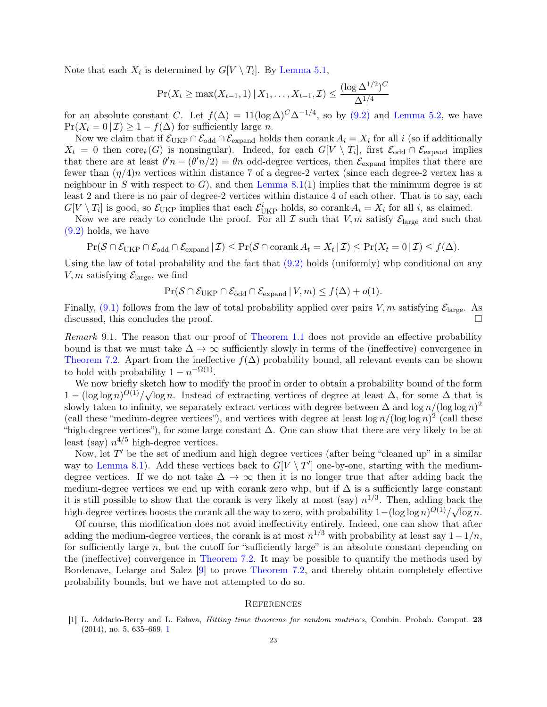<span id="page-22-2"></span>Note that each  $X_i$  is determined by  $G[V \setminus T_i]$ . By [Lemma 5.1,](#page-10-0)

$$
\Pr(X_t \ge \max(X_{t-1}, 1) \mid X_1, \dots, X_{t-1}, \mathcal{I}) \le \frac{(\log \Delta^{1/2})^C}{\Delta^{1/4}}
$$

for an absolute constant C. Let  $f(\Delta) = 11(\log \Delta)^C \Delta^{-1/4}$ , so by [\(9.2\)](#page-21-0) and [Lemma 5.2,](#page-11-0) we have  $Pr(X_t = 0 | \mathcal{I}) \geq 1 - f(\Delta)$  for sufficiently large *n*.

Now we claim that if  $\mathcal{E}_{\text{UKP}} \cap \mathcal{E}_{\text{odd}} \cap \mathcal{E}_{\text{expand}}$  holds then corank  $A_i = X_i$  for all i (so if additionally  $X_t = 0$  then  $\text{core}_k(G)$  is nonsingular). Indeed, for each  $G[V \setminus T_i]$ , first  $\mathcal{E}_{\text{odd}} \cap \mathcal{E}_{\text{expand}}$  implies that there are at least  $\theta' n - (\theta' n/2) = \theta n$  odd-degree vertices, then  $\mathcal{E}_{\text{expand}}$  implies that there are fewer than  $(\eta/4)n$  vertices within distance 7 of a degree-2 vertex (since each degree-2 vertex has a neighbour in S with respect to  $G$ , and then [Lemma 8.1\(](#page-18-0)1) implies that the minimum degree is at least 2 and there is no pair of degree-2 vertices within distance 4 of each other. That is to say, each  $G[V \setminus T_i]$  is good, so  $\mathcal{E}_{UKP}$  implies that each  $\mathcal{E}_{UKP}^i$  holds, so corank  $A_i = X_i$  for all i, as claimed.

Now we are ready to conclude the proof. For all  $\mathcal I$  such that  $V, m$  satisfy  $\mathcal E_{\text{large}}$  and such that [\(9.2\)](#page-21-0) holds, we have

 $Pr(\mathcal{S} \cap \mathcal{E}_{UKP} \cap \mathcal{E}_{odd} \cap \mathcal{E}_{expand} | \mathcal{I}) \leq Pr(\mathcal{S} \cap \text{corank } A_t = X_t | \mathcal{I}) \leq Pr(X_t = 0 | \mathcal{I}) \leq f(\Delta).$ 

Using the law of total probability and the fact that  $(9.2)$  holds (uniformly) whp conditional on any V, m satisfying  $\mathcal{E}_{\text{large}}$ , we find

$$
\Pr(\mathcal{S} \cap \mathcal{E}_{UKP} \cap \mathcal{E}_{odd} \cap \mathcal{E}_{expand} | V, m) \le f(\Delta) + o(1).
$$

Finally, [\(9.1\)](#page-21-1) follows from the law of total probability applied over pairs  $V, m$  satisfying  $\mathcal{E}_{\text{large}}$ . As discussed, this concludes the proof.

<span id="page-22-1"></span>Remark 9.1. The reason that our proof of [Theorem 1.1](#page-1-1) does not provide an effective probability bound is that we must take  $\Delta \to \infty$  sufficiently slowly in terms of the (ineffective) convergence in [Theorem 7.2.](#page-15-2) Apart from the ineffective  $f(\Delta)$  probability bound, all relevant events can be shown to hold with probability  $1 - n^{-\Omega(1)}$ .

We now briefly sketch how to modify the proof in order to obtain a probability bound of the form  $1 - (\log \log n)^{O(1)} / \sqrt{\log n}$ . Instead of extracting vertices of degree at least  $\Delta$ , for some  $\Delta$  that is slowly taken to infinity, we separately extract vertices with degree between  $\Delta$  and  $\log n/(\log \log n)^2$ (call these "medium-degree vertices"), and vertices with degree at least  $\log n/(\log \log n)^2$  (call these "high-degree vertices"), for some large constant  $\Delta$ . One can show that there are very likely to be at least (say)  $n^{4/5}$  high-degree vertices.

Now, let  $T'$  be the set of medium and high degree vertices (after being "cleaned up" in a similar way to [Lemma 8.1\)](#page-18-0). Add these vertices back to  $G[V \setminus T']$  one-by-one, starting with the mediumdegree vertices. If we do not take  $\Delta \to \infty$  then it is no longer true that after adding back the medium-degree vertices we end up with corank zero whp, but if  $\Delta$  is a sufficiently large constant it is still possible to show that the corank is very likely at most (say)  $n^{1/3}$ . Then, adding back the high-degree vertices boosts the corank all the way to zero, with probability  $1 - (\log \log n)^{O(1)} / \sqrt{\log n}$  $\overline{\log n}$ .

Of course, this modification does not avoid ineffectivity entirely. Indeed, one can show that after adding the medium-degree vertices, the corank is at most  $n^{1/3}$  with probability at least say  $1-1/n$ , for sufficiently large n, but the cutoff for "sufficiently large" is an absolute constant depending on the (ineffective) convergence in [Theorem 7.2.](#page-15-2) It may be possible to quantify the methods used by Bordenave, Lelarge and Salez [\[9\]](#page-23-17) to prove [Theorem 7.2,](#page-15-2) and thereby obtain completely effective probability bounds, but we have not attempted to do so.

### **REFERENCES**

<span id="page-22-0"></span>[1] L. Addario-Berry and L. Eslava, Hitting time theorems for random matrices, Combin. Probab. Comput. 23 (2014), no. 5, 635–669. [1](#page-0-1)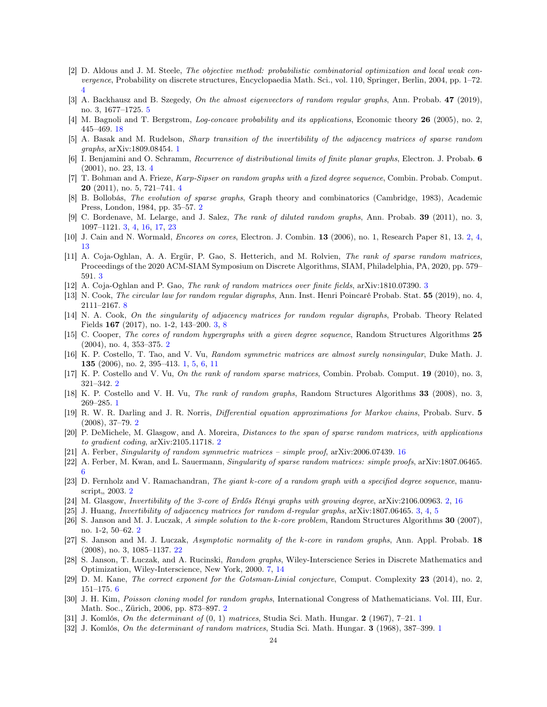- <span id="page-23-22"></span>[2] D. Aldous and J. M. Steele, The objective method: probabilistic combinatorial optimization and local weak convergence, Probability on discrete structures, Encyclopaedia Math. Sci., vol. 110, Springer, Berlin, 2004, pp. 1–72. [4](#page-3-1)
- <span id="page-23-23"></span>[3] A. Backhausz and B. Szegedy, On the almost eigenvectors of random regular graphs, Ann. Probab. 47 (2019), no. 3, 1677–1725. [5](#page-4-0)
- <span id="page-23-29"></span>[4] M. Bagnoli and T. Bergstrom, *Log-concave probability and its applications*, Economic theory **26** (2005), no. 2, 445–469. [18](#page-17-0)
- <span id="page-23-4"></span>[5] A. Basak and M. Rudelson, Sharp transition of the invertibility of the adjacency matrices of sparse random graphs, arXiv:1809.08454. [1](#page-0-1)
- <span id="page-23-21"></span>[6] I. Benjamini and O. Schramm, Recurrence of distributional limits of finite planar graphs, Electron. J. Probab. 6 (2001), no. 23, 13. [4](#page-3-1)
- <span id="page-23-20"></span>[7] T. Bohman and A. Frieze, Karp-Sipser on random graphs with a fixed degree sequence, Combin. Probab. Comput. **20** (2011), no. 5, 721–7[4](#page-3-1)1.  $4$
- <span id="page-23-8"></span>[8] B. Bollobás, The evolution of sparse graphs, Graph theory and combinatorics (Cambridge, 1983), Academic Press, London, 1984, pp. 35–57. [2](#page-1-3)
- <span id="page-23-17"></span>[9] C. Bordenave, M. Lelarge, and J. Salez, The rank of diluted random graphs, Ann. Probab. 39 (2011), no. 3, 1097–1121. [3,](#page-2-1) [4,](#page-3-1) [16,](#page-15-3) [17,](#page-16-2) [23](#page-22-2)
- <span id="page-23-9"></span>[10] J. Cain and N. Wormald, Encores on cores, Electron. J. Combin. 13 (2006), no. 1, Research Paper 81, 13. [2,](#page-1-3) [4,](#page-3-1) [13](#page-12-7)
- <span id="page-23-18"></span>[11] A. Coja-Oghlan, A. A. Ergür, P. Gao, S. Hetterich, and M. Rolvien, The rank of sparse random matrices, Proceedings of the 2020 ACM-SIAM Symposium on Discrete Algorithms, SIAM, Philadelphia, PA, 2020, pp. 579– 591. [3](#page-2-1)
- <span id="page-23-19"></span>[12] A. Coja-Oghlan and P. Gao, The rank of random matrices over finite fields, arXiv:1810.07390. [3](#page-2-1)
- <span id="page-23-27"></span>[13] N. Cook, The circular law for random regular digraphs, Ann. Inst. Henri Poincaré Probab. Stat. 55 (2019), no. 4, 2111–2167. [8](#page-7-5)
- <span id="page-23-16"></span>[14] N. A. Cook, On the singularity of adjacency matrices for random regular digraphs, Probab. Theory Related Fields 167 (2017), no. 1-2, 143–200. [3,](#page-2-1) [8](#page-7-5)
- <span id="page-23-10"></span>[15] C. Cooper, The cores of random hypergraphs with a given degree sequence, Random Structures Algorithms 25 (2004), no. 4, 353–375. [2](#page-1-3)
- <span id="page-23-2"></span>[16] K. P. Costello, T. Tao, and V. Vu, Random symmetric matrices are almost surely nonsingular, Duke Math. J. 135 (2006), no. 2, 395–413. [1,](#page-0-1) [5,](#page-4-0) [6,](#page-5-3) [11](#page-10-3)
- <span id="page-23-5"></span>[17] K. P. Costello and V. Vu, On the rank of random sparse matrices, Combin. Probab. Comput. 19 (2010), no. 3, 321–342. [2](#page-1-3)
- <span id="page-23-3"></span>[18] K. P. Costello and V. H. Vu, The rank of random graphs, Random Structures Algorithms 33 (2008), no. 3, 269–285. [1](#page-0-1)
- <span id="page-23-11"></span>[19] R. W. R. Darling and J. R. Norris, Differential equation approximations for Markov chains, Probab. Surv. 5 (2008), 37–79. [2](#page-1-3)
- <span id="page-23-7"></span>[20] P. DeMichele, M. Glasgow, and A. Moreira, Distances to the span of sparse random matrices, with applications to gradient coding, arXiv:2105.11718. [2](#page-1-3)
- <span id="page-23-28"></span>[21] A. Ferber, Singularity of random symmetric matrices – simple proof, arXiv:2006.07439. [16](#page-15-3)
- <span id="page-23-24"></span>[22] A. Ferber, M. Kwan, and L. Sauermann, Singularity of sparse random matrices: simple proofs, arXiv:1807.06465. [6](#page-5-3)
- <span id="page-23-12"></span>[23] D. Fernholz and V. Ramachandran, The giant k-core of a random graph with a specified degree sequence, manu-script, [2](#page-1-3)003. 2
- <span id="page-23-6"></span>[24] M. Glasgow, Invertibility of the 3-core of Erdős Rényi graphs with growing degree, arXiv:2106.00963. [2,](#page-1-3) [16](#page-15-3)
- <span id="page-23-15"></span>[25] J. Huang, Invertibility of adjacency matrices for random d-regular graphs, arXiv:1807.06465. [3,](#page-2-1) [4,](#page-3-1) [5](#page-4-0)
- <span id="page-23-13"></span>[26] S. Janson and M. J. Luczak, A simple solution to the k-core problem, Random Structures Algorithms 30 (2007), no. 1-2, 50–62. [2](#page-1-3)
- <span id="page-23-30"></span>[27] S. Janson and M. J. Luczak, Asymptotic normality of the k-core in random graphs, Ann. Appl. Probab. 18 (2008), no. 3, 1085–1137. [22](#page-21-2)
- <span id="page-23-26"></span>[28] S. Janson, T. Łuczak, and A. Rucinski, Random graphs, Wiley-Interscience Series in Discrete Mathematics and Optimization, Wiley-Interscience, New York, 2000. [7,](#page-6-1) [14](#page-13-0)
- <span id="page-23-25"></span>[29] D. M. Kane, The correct exponent for the Gotsman-Linial conjecture, Comput. Complexity 23 (2014), no. 2, 151–175. [6](#page-5-3)
- <span id="page-23-14"></span>[30] J. H. Kim, *Poisson cloning model for random graphs*, International Congress of Mathematicians. Vol. III, Eur. Math. Soc., Zürich, 2006, pp. 873–897. [2](#page-1-3)
- <span id="page-23-0"></span>[3[1](#page-0-1)] J. Komlós, On the determinant of  $(0, 1)$  matrices, Studia Sci. Math. Hungar. 2 (1967), 7–21. 1
- <span id="page-23-1"></span>[32] J. Komlós, On the determinant of random matrices, Studia Sci. Math. Hungar. 3 ([1](#page-0-1)968), 387–399. 1